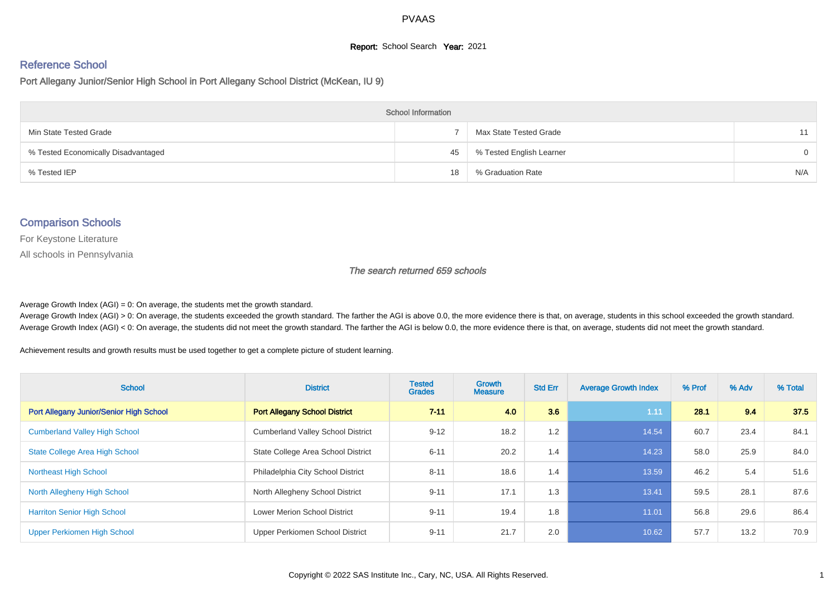#### **Report:** School Search **Year:** 2021

# Reference School

Port Allegany Junior/Senior High School in Port Allegany School District (McKean, IU 9)

| <b>School Information</b>           |    |                          |          |  |  |  |  |  |
|-------------------------------------|----|--------------------------|----------|--|--|--|--|--|
| Min State Tested Grade              |    | Max State Tested Grade   | 11       |  |  |  |  |  |
| % Tested Economically Disadvantaged | 45 | % Tested English Learner | $\Omega$ |  |  |  |  |  |
| % Tested IEP                        | 18 | % Graduation Rate        | N/A      |  |  |  |  |  |

#### Comparison Schools

For Keystone Literature

All schools in Pennsylvania

The search returned 659 schools

Average Growth Index  $(AGI) = 0$ : On average, the students met the growth standard.

Average Growth Index (AGI) > 0: On average, the students exceeded the growth standard. The farther the AGI is above 0.0, the more evidence there is that, on average, students in this school exceeded the growth standard. Average Growth Index (AGI) < 0: On average, the students did not meet the growth standard. The farther the AGI is below 0.0, the more evidence there is that, on average, students did not meet the growth standard.

Achievement results and growth results must be used together to get a complete picture of student learning.

| <b>School</b>                                  | <b>District</b>                          | <b>Tested</b><br><b>Grades</b> | Growth<br><b>Measure</b> | <b>Std Err</b> | <b>Average Growth Index</b> | % Prof | % Adv | % Total |
|------------------------------------------------|------------------------------------------|--------------------------------|--------------------------|----------------|-----------------------------|--------|-------|---------|
| <b>Port Allegany Junior/Senior High School</b> | <b>Port Allegany School District</b>     | $7 - 11$                       | 4.0                      | 3.6            | 1.11                        | 28.1   | 9.4   | 37.5    |
| <b>Cumberland Valley High School</b>           | <b>Cumberland Valley School District</b> | $9 - 12$                       | 18.2                     | 1.2            | 14.54                       | 60.7   | 23.4  | 84.1    |
| <b>State College Area High School</b>          | State College Area School District       | $6 - 11$                       | 20.2                     | 1.4            | 14.23                       | 58.0   | 25.9  | 84.0    |
| <b>Northeast High School</b>                   | Philadelphia City School District        | $8 - 11$                       | 18.6                     | 1.4            | 13.59                       | 46.2   | 5.4   | 51.6    |
| North Allegheny High School                    | North Allegheny School District          | $9 - 11$                       | 17.1                     | 1.3            | 13.41                       | 59.5   | 28.1  | 87.6    |
| <b>Harriton Senior High School</b>             | <b>Lower Merion School District</b>      | $9 - 11$                       | 19.4                     | 1.8            | 11.01                       | 56.8   | 29.6  | 86.4    |
| Upper Perkiomen High School                    | Upper Perkiomen School District          | $9 - 11$                       | 21.7                     | 2.0            | 10.62                       | 57.7   | 13.2  | 70.9    |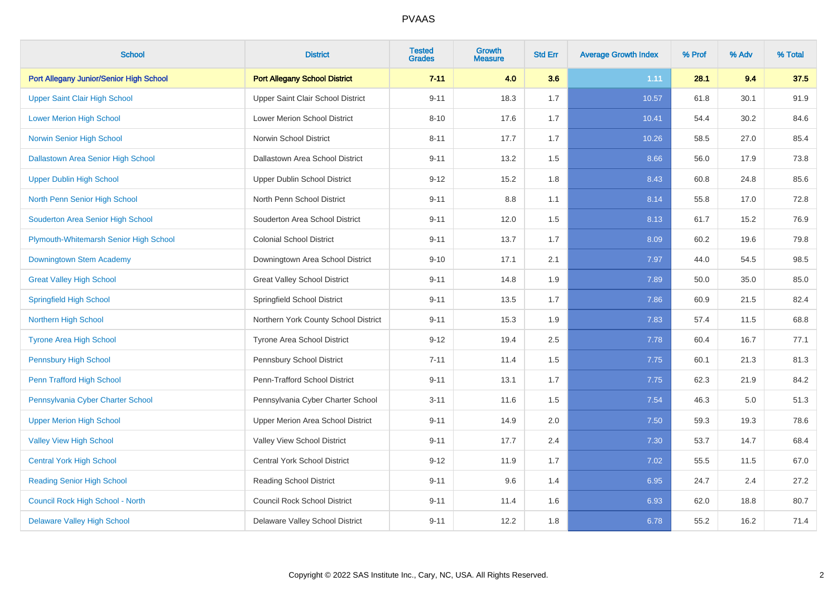| <b>School</b>                             | <b>District</b>                      | <b>Tested</b><br><b>Grades</b> | <b>Growth</b><br><b>Measure</b> | <b>Std Err</b> | <b>Average Growth Index</b> | % Prof | % Adv | % Total |
|-------------------------------------------|--------------------------------------|--------------------------------|---------------------------------|----------------|-----------------------------|--------|-------|---------|
| Port Allegany Junior/Senior High School   | <b>Port Allegany School District</b> | $7 - 11$                       | 4.0                             | 3.6            | 1.11                        | 28.1   | 9.4   | 37.5    |
| <b>Upper Saint Clair High School</b>      | Upper Saint Clair School District    | $9 - 11$                       | 18.3                            | 1.7            | 10.57                       | 61.8   | 30.1  | 91.9    |
| <b>Lower Merion High School</b>           | Lower Merion School District         | $8 - 10$                       | 17.6                            | 1.7            | 10.41                       | 54.4   | 30.2  | 84.6    |
| <b>Norwin Senior High School</b>          | Norwin School District               | $8 - 11$                       | 17.7                            | 1.7            | 10.26                       | 58.5   | 27.0  | 85.4    |
| <b>Dallastown Area Senior High School</b> | Dallastown Area School District      | $9 - 11$                       | 13.2                            | 1.5            | 8.66                        | 56.0   | 17.9  | 73.8    |
| <b>Upper Dublin High School</b>           | <b>Upper Dublin School District</b>  | $9 - 12$                       | 15.2                            | 1.8            | 8.43                        | 60.8   | 24.8  | 85.6    |
| North Penn Senior High School             | North Penn School District           | $9 - 11$                       | 8.8                             | 1.1            | 8.14                        | 55.8   | 17.0  | 72.8    |
| Souderton Area Senior High School         | Souderton Area School District       | $9 - 11$                       | 12.0                            | 1.5            | 8.13                        | 61.7   | 15.2  | 76.9    |
| Plymouth-Whitemarsh Senior High School    | <b>Colonial School District</b>      | $9 - 11$                       | 13.7                            | 1.7            | 8.09                        | 60.2   | 19.6  | 79.8    |
| Downingtown Stem Academy                  | Downingtown Area School District     | $9 - 10$                       | 17.1                            | 2.1            | 7.97                        | 44.0   | 54.5  | 98.5    |
| <b>Great Valley High School</b>           | <b>Great Valley School District</b>  | $9 - 11$                       | 14.8                            | 1.9            | 7.89                        | 50.0   | 35.0  | 85.0    |
| <b>Springfield High School</b>            | Springfield School District          | $9 - 11$                       | 13.5                            | 1.7            | 7.86                        | 60.9   | 21.5  | 82.4    |
| <b>Northern High School</b>               | Northern York County School District | $9 - 11$                       | 15.3                            | 1.9            | 7.83                        | 57.4   | 11.5  | 68.8    |
| <b>Tyrone Area High School</b>            | Tyrone Area School District          | $9 - 12$                       | 19.4                            | 2.5            | 7.78                        | 60.4   | 16.7  | 77.1    |
| <b>Pennsbury High School</b>              | Pennsbury School District            | $7 - 11$                       | 11.4                            | 1.5            | 7.75                        | 60.1   | 21.3  | 81.3    |
| Penn Trafford High School                 | Penn-Trafford School District        | $9 - 11$                       | 13.1                            | 1.7            | 7.75                        | 62.3   | 21.9  | 84.2    |
| Pennsylvania Cyber Charter School         | Pennsylvania Cyber Charter School    | $3 - 11$                       | 11.6                            | 1.5            | 7.54                        | 46.3   | 5.0   | 51.3    |
| <b>Upper Merion High School</b>           | Upper Merion Area School District    | $9 - 11$                       | 14.9                            | 2.0            | 7.50                        | 59.3   | 19.3  | 78.6    |
| <b>Valley View High School</b>            | Valley View School District          | $9 - 11$                       | 17.7                            | 2.4            | 7.30                        | 53.7   | 14.7  | 68.4    |
| <b>Central York High School</b>           | <b>Central York School District</b>  | $9 - 12$                       | 11.9                            | 1.7            | 7.02                        | 55.5   | 11.5  | 67.0    |
| <b>Reading Senior High School</b>         | <b>Reading School District</b>       | $9 - 11$                       | 9.6                             | 1.4            | 6.95                        | 24.7   | 2.4   | 27.2    |
| Council Rock High School - North          | <b>Council Rock School District</b>  | $9 - 11$                       | 11.4                            | 1.6            | 6.93                        | 62.0   | 18.8  | 80.7    |
| <b>Delaware Valley High School</b>        | Delaware Valley School District      | $9 - 11$                       | 12.2                            | 1.8            | 6.78                        | 55.2   | 16.2  | 71.4    |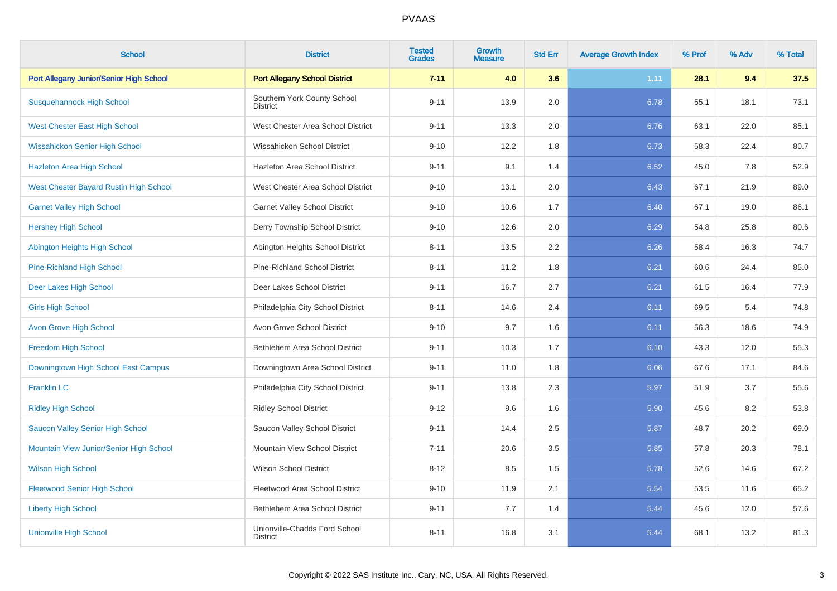| <b>School</b>                                 | <b>District</b>                                  | <b>Tested</b><br><b>Grades</b> | Growth<br><b>Measure</b> | <b>Std Err</b> | <b>Average Growth Index</b> | % Prof | % Adv | % Total |
|-----------------------------------------------|--------------------------------------------------|--------------------------------|--------------------------|----------------|-----------------------------|--------|-------|---------|
| Port Allegany Junior/Senior High School       | <b>Port Allegany School District</b>             | $7 - 11$                       | 4.0                      | 3.6            | 1.11                        | 28.1   | 9.4   | 37.5    |
| <b>Susquehannock High School</b>              | Southern York County School<br><b>District</b>   | $9 - 11$                       | 13.9                     | 2.0            | 6.78                        | 55.1   | 18.1  | 73.1    |
| <b>West Chester East High School</b>          | West Chester Area School District                | $9 - 11$                       | 13.3                     | 2.0            | 6.76                        | 63.1   | 22.0  | 85.1    |
| <b>Wissahickon Senior High School</b>         | Wissahickon School District                      | $9 - 10$                       | 12.2                     | 1.8            | 6.73                        | 58.3   | 22.4  | 80.7    |
| <b>Hazleton Area High School</b>              | Hazleton Area School District                    | $9 - 11$                       | 9.1                      | 1.4            | 6.52                        | 45.0   | 7.8   | 52.9    |
| <b>West Chester Bayard Rustin High School</b> | West Chester Area School District                | $9 - 10$                       | 13.1                     | 2.0            | 6.43                        | 67.1   | 21.9  | 89.0    |
| <b>Garnet Valley High School</b>              | <b>Garnet Valley School District</b>             | $9 - 10$                       | 10.6                     | 1.7            | 6.40                        | 67.1   | 19.0  | 86.1    |
| <b>Hershey High School</b>                    | Derry Township School District                   | $9 - 10$                       | 12.6                     | 2.0            | 6.29                        | 54.8   | 25.8  | 80.6    |
| Abington Heights High School                  | Abington Heights School District                 | $8 - 11$                       | 13.5                     | 2.2            | 6.26                        | 58.4   | 16.3  | 74.7    |
| <b>Pine-Richland High School</b>              | <b>Pine-Richland School District</b>             | $8 - 11$                       | 11.2                     | 1.8            | 6.21                        | 60.6   | 24.4  | 85.0    |
| Deer Lakes High School                        | Deer Lakes School District                       | $9 - 11$                       | 16.7                     | 2.7            | 6.21                        | 61.5   | 16.4  | 77.9    |
| <b>Girls High School</b>                      | Philadelphia City School District                | $8 - 11$                       | 14.6                     | 2.4            | 6.11                        | 69.5   | 5.4   | 74.8    |
| <b>Avon Grove High School</b>                 | Avon Grove School District                       | $9 - 10$                       | 9.7                      | 1.6            | 6.11                        | 56.3   | 18.6  | 74.9    |
| <b>Freedom High School</b>                    | Bethlehem Area School District                   | $9 - 11$                       | 10.3                     | 1.7            | 6.10                        | 43.3   | 12.0  | 55.3    |
| Downingtown High School East Campus           | Downingtown Area School District                 | $9 - 11$                       | 11.0                     | 1.8            | 6.06                        | 67.6   | 17.1  | 84.6    |
| <b>Franklin LC</b>                            | Philadelphia City School District                | $9 - 11$                       | 13.8                     | 2.3            | 5.97                        | 51.9   | 3.7   | 55.6    |
| <b>Ridley High School</b>                     | <b>Ridley School District</b>                    | $9 - 12$                       | 9.6                      | 1.6            | 5.90                        | 45.6   | 8.2   | 53.8    |
| Saucon Valley Senior High School              | Saucon Valley School District                    | $9 - 11$                       | 14.4                     | 2.5            | 5.87                        | 48.7   | 20.2  | 69.0    |
| Mountain View Junior/Senior High School       | Mountain View School District                    | $7 - 11$                       | 20.6                     | 3.5            | 5.85                        | 57.8   | 20.3  | 78.1    |
| <b>Wilson High School</b>                     | <b>Wilson School District</b>                    | $8 - 12$                       | 8.5                      | 1.5            | 5.78                        | 52.6   | 14.6  | 67.2    |
| <b>Fleetwood Senior High School</b>           | Fleetwood Area School District                   | $9 - 10$                       | 11.9                     | 2.1            | 5.54                        | 53.5   | 11.6  | 65.2    |
| <b>Liberty High School</b>                    | Bethlehem Area School District                   | $9 - 11$                       | 7.7                      | 1.4            | 5.44                        | 45.6   | 12.0  | 57.6    |
| <b>Unionville High School</b>                 | Unionville-Chadds Ford School<br><b>District</b> | $8 - 11$                       | 16.8                     | 3.1            | 5.44                        | 68.1   | 13.2  | 81.3    |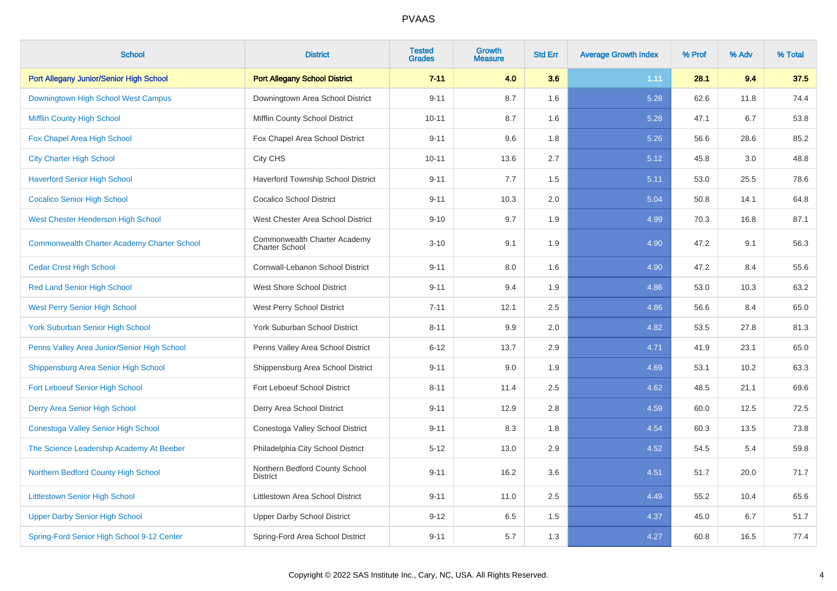| <b>School</b>                                      | <b>District</b>                                       | <b>Tested</b><br><b>Grades</b> | <b>Growth</b><br><b>Measure</b> | <b>Std Err</b> | <b>Average Growth Index</b> | % Prof | % Adv | % Total |
|----------------------------------------------------|-------------------------------------------------------|--------------------------------|---------------------------------|----------------|-----------------------------|--------|-------|---------|
| Port Allegany Junior/Senior High School            | <b>Port Allegany School District</b>                  | $7 - 11$                       | 4.0                             | 3.6            | 1.11                        | 28.1   | 9.4   | 37.5    |
| Downingtown High School West Campus                | Downingtown Area School District                      | $9 - 11$                       | 8.7                             | 1.6            | 5.28                        | 62.6   | 11.8  | 74.4    |
| <b>Mifflin County High School</b>                  | Mifflin County School District                        | $10 - 11$                      | 8.7                             | 1.6            | 5.28                        | 47.1   | 6.7   | 53.8    |
| Fox Chapel Area High School                        | Fox Chapel Area School District                       | $9 - 11$                       | 9.6                             | 1.8            | 5.26                        | 56.6   | 28.6  | 85.2    |
| <b>City Charter High School</b>                    | City CHS                                              | $10 - 11$                      | 13.6                            | 2.7            | 5.12                        | 45.8   | 3.0   | 48.8    |
| <b>Haverford Senior High School</b>                | <b>Haverford Township School District</b>             | $9 - 11$                       | 7.7                             | 1.5            | 5.11                        | 53.0   | 25.5  | 78.6    |
| <b>Cocalico Senior High School</b>                 | <b>Cocalico School District</b>                       | $9 - 11$                       | 10.3                            | 2.0            | 5.04                        | 50.8   | 14.1  | 64.8    |
| West Chester Henderson High School                 | West Chester Area School District                     | $9 - 10$                       | 9.7                             | 1.9            | 4.99                        | 70.3   | 16.8  | 87.1    |
| <b>Commonwealth Charter Academy Charter School</b> | Commonwealth Charter Academy<br><b>Charter School</b> | $3 - 10$                       | 9.1                             | 1.9            | 4.90                        | 47.2   | 9.1   | 56.3    |
| <b>Cedar Crest High School</b>                     | Cornwall-Lebanon School District                      | $9 - 11$                       | 8.0                             | 1.6            | 4.90                        | 47.2   | 8.4   | 55.6    |
| <b>Red Land Senior High School</b>                 | <b>West Shore School District</b>                     | $9 - 11$                       | 9.4                             | 1.9            | 4.86                        | 53.0   | 10.3  | 63.2    |
| <b>West Perry Senior High School</b>               | West Perry School District                            | $7 - 11$                       | 12.1                            | 2.5            | 4.86                        | 56.6   | 8.4   | 65.0    |
| <b>York Suburban Senior High School</b>            | York Suburban School District                         | $8 - 11$                       | 9.9                             | 2.0            | 4.82                        | 53.5   | 27.8  | 81.3    |
| Penns Valley Area Junior/Senior High School        | Penns Valley Area School District                     | $6 - 12$                       | 13.7                            | 2.9            | 4.71                        | 41.9   | 23.1  | 65.0    |
| Shippensburg Area Senior High School               | Shippensburg Area School District                     | $9 - 11$                       | 9.0                             | 1.9            | 4.69                        | 53.1   | 10.2  | 63.3    |
| Fort Leboeuf Senior High School                    | Fort Leboeuf School District                          | $8 - 11$                       | 11.4                            | 2.5            | 4.62                        | 48.5   | 21.1  | 69.6    |
| Derry Area Senior High School                      | Derry Area School District                            | $9 - 11$                       | 12.9                            | 2.8            | 4.59                        | 60.0   | 12.5  | 72.5    |
| Conestoga Valley Senior High School                | Conestoga Valley School District                      | $9 - 11$                       | 8.3                             | 1.8            | 4.54                        | 60.3   | 13.5  | 73.8    |
| The Science Leadership Academy At Beeber           | Philadelphia City School District                     | $5 - 12$                       | 13.0                            | $2.9\,$        | 4.52                        | 54.5   | 5.4   | 59.8    |
| Northern Bedford County High School                | Northern Bedford County School<br><b>District</b>     | $9 - 11$                       | 16.2                            | 3.6            | 4.51                        | 51.7   | 20.0  | 71.7    |
| <b>Littlestown Senior High School</b>              | Littlestown Area School District                      | $9 - 11$                       | 11.0                            | 2.5            | 4.49                        | 55.2   | 10.4  | 65.6    |
| <b>Upper Darby Senior High School</b>              | <b>Upper Darby School District</b>                    | $9 - 12$                       | 6.5                             | 1.5            | 4.37                        | 45.0   | 6.7   | 51.7    |
| Spring-Ford Senior High School 9-12 Center         | Spring-Ford Area School District                      | $9 - 11$                       | 5.7                             | 1.3            | 4.27                        | 60.8   | 16.5  | 77.4    |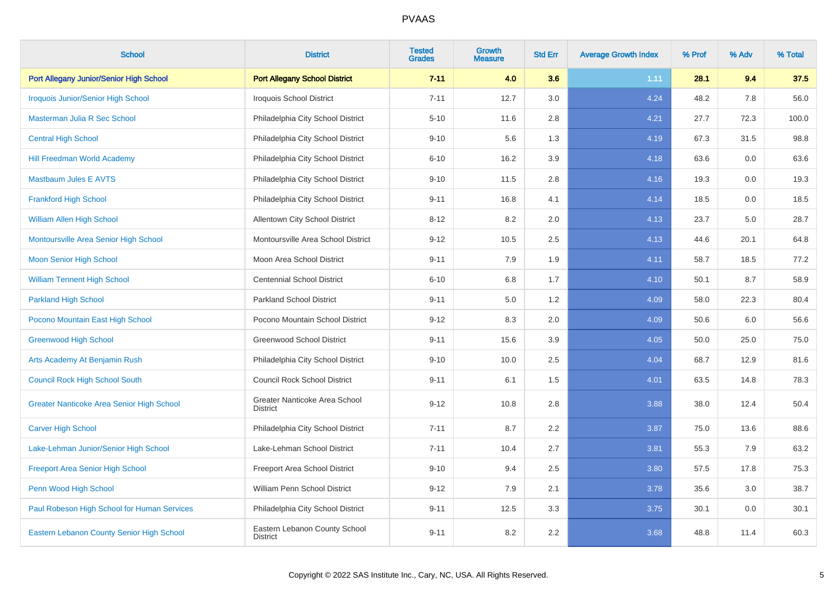| <b>School</b>                                    | <b>District</b>                                  | <b>Tested</b><br><b>Grades</b> | Growth<br><b>Measure</b> | <b>Std Err</b> | <b>Average Growth Index</b> | % Prof | % Adv | % Total |
|--------------------------------------------------|--------------------------------------------------|--------------------------------|--------------------------|----------------|-----------------------------|--------|-------|---------|
| Port Allegany Junior/Senior High School          | <b>Port Allegany School District</b>             | $7 - 11$                       | 4.0                      | 3.6            | 1.11                        | 28.1   | 9.4   | 37.5    |
| <b>Iroquois Junior/Senior High School</b>        | <b>Iroquois School District</b>                  | $7 - 11$                       | 12.7                     | 3.0            | 4.24                        | 48.2   | 7.8   | 56.0    |
| Masterman Julia R Sec School                     | Philadelphia City School District                | $5 - 10$                       | 11.6                     | 2.8            | 4.21                        | 27.7   | 72.3  | 100.0   |
| <b>Central High School</b>                       | Philadelphia City School District                | $9 - 10$                       | 5.6                      | 1.3            | 4.19                        | 67.3   | 31.5  | 98.8    |
| <b>Hill Freedman World Academy</b>               | Philadelphia City School District                | $6 - 10$                       | 16.2                     | 3.9            | 4.18                        | 63.6   | 0.0   | 63.6    |
| <b>Mastbaum Jules E AVTS</b>                     | Philadelphia City School District                | $9 - 10$                       | 11.5                     | 2.8            | 4.16                        | 19.3   | 0.0   | 19.3    |
| <b>Frankford High School</b>                     | Philadelphia City School District                | $9 - 11$                       | 16.8                     | 4.1            | 4.14                        | 18.5   | 0.0   | 18.5    |
| <b>William Allen High School</b>                 | Allentown City School District                   | $8 - 12$                       | 8.2                      | 2.0            | 4.13                        | 23.7   | 5.0   | 28.7    |
| Montoursville Area Senior High School            | Montoursville Area School District               | $9 - 12$                       | 10.5                     | 2.5            | 4.13                        | 44.6   | 20.1  | 64.8    |
| <b>Moon Senior High School</b>                   | Moon Area School District                        | $9 - 11$                       | 7.9                      | 1.9            | 4.11                        | 58.7   | 18.5  | 77.2    |
| <b>William Tennent High School</b>               | <b>Centennial School District</b>                | $6 - 10$                       | 6.8                      | 1.7            | 4.10                        | 50.1   | 8.7   | 58.9    |
| <b>Parkland High School</b>                      | <b>Parkland School District</b>                  | $9 - 11$                       | 5.0                      | 1.2            | 4.09                        | 58.0   | 22.3  | 80.4    |
| Pocono Mountain East High School                 | Pocono Mountain School District                  | $9 - 12$                       | 8.3                      | 2.0            | 4.09                        | 50.6   | 6.0   | 56.6    |
| <b>Greenwood High School</b>                     | <b>Greenwood School District</b>                 | $9 - 11$                       | 15.6                     | 3.9            | 4.05                        | 50.0   | 25.0  | 75.0    |
| Arts Academy At Benjamin Rush                    | Philadelphia City School District                | $9 - 10$                       | 10.0                     | 2.5            | 4.04                        | 68.7   | 12.9  | 81.6    |
| <b>Council Rock High School South</b>            | <b>Council Rock School District</b>              | $9 - 11$                       | 6.1                      | 1.5            | 4.01                        | 63.5   | 14.8  | 78.3    |
| <b>Greater Nanticoke Area Senior High School</b> | Greater Nanticoke Area School<br><b>District</b> | $9 - 12$                       | 10.8                     | 2.8            | 3.88                        | 38.0   | 12.4  | 50.4    |
| <b>Carver High School</b>                        | Philadelphia City School District                | $7 - 11$                       | 8.7                      | 2.2            | 3.87                        | 75.0   | 13.6  | 88.6    |
| Lake-Lehman Junior/Senior High School            | Lake-Lehman School District                      | $7 - 11$                       | 10.4                     | 2.7            | 3.81                        | 55.3   | 7.9   | 63.2    |
| <b>Freeport Area Senior High School</b>          | Freeport Area School District                    | $9 - 10$                       | 9.4                      | 2.5            | 3.80                        | 57.5   | 17.8  | 75.3    |
| Penn Wood High School                            | William Penn School District                     | $9 - 12$                       | 7.9                      | 2.1            | 3.78                        | 35.6   | 3.0   | 38.7    |
| Paul Robeson High School for Human Services      | Philadelphia City School District                | $9 - 11$                       | 12.5                     | 3.3            | 3.75                        | 30.1   | 0.0   | 30.1    |
| Eastern Lebanon County Senior High School        | Eastern Lebanon County School<br><b>District</b> | $9 - 11$                       | 8.2                      | 2.2            | 3.68                        | 48.8   | 11.4  | 60.3    |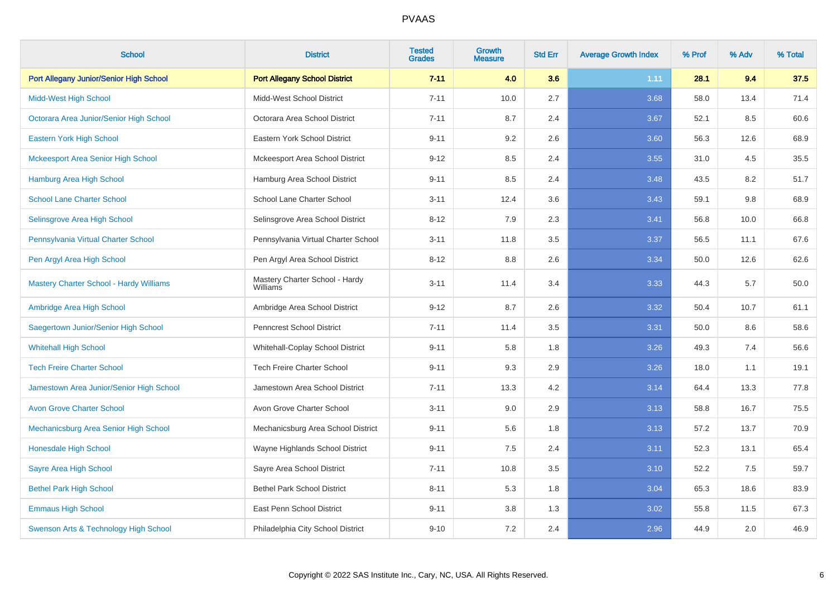| <b>School</b>                                  | <b>District</b>                            | <b>Tested</b><br><b>Grades</b> | <b>Growth</b><br><b>Measure</b> | <b>Std Err</b> | <b>Average Growth Index</b> | % Prof | % Adv | % Total |
|------------------------------------------------|--------------------------------------------|--------------------------------|---------------------------------|----------------|-----------------------------|--------|-------|---------|
| Port Allegany Junior/Senior High School        | <b>Port Allegany School District</b>       | $7 - 11$                       | 4.0                             | 3.6            | 1.11                        | 28.1   | 9.4   | 37.5    |
| <b>Midd-West High School</b>                   | Midd-West School District                  | $7 - 11$                       | 10.0                            | 2.7            | 3.68                        | 58.0   | 13.4  | 71.4    |
| Octorara Area Junior/Senior High School        | Octorara Area School District              | $7 - 11$                       | 8.7                             | 2.4            | 3.67                        | 52.1   | 8.5   | 60.6    |
| Eastern York High School                       | Eastern York School District               | $9 - 11$                       | 9.2                             | 2.6            | 3.60                        | 56.3   | 12.6  | 68.9    |
| <b>Mckeesport Area Senior High School</b>      | Mckeesport Area School District            | $9 - 12$                       | 8.5                             | 2.4            | 3.55                        | 31.0   | 4.5   | 35.5    |
| <b>Hamburg Area High School</b>                | Hamburg Area School District               | $9 - 11$                       | 8.5                             | 2.4            | 3.48                        | 43.5   | 8.2   | 51.7    |
| <b>School Lane Charter School</b>              | School Lane Charter School                 | $3 - 11$                       | 12.4                            | 3.6            | 3.43                        | 59.1   | 9.8   | 68.9    |
| Selinsgrove Area High School                   | Selinsgrove Area School District           | $8 - 12$                       | 7.9                             | 2.3            | 3.41                        | 56.8   | 10.0  | 66.8    |
| Pennsylvania Virtual Charter School            | Pennsylvania Virtual Charter School        | $3 - 11$                       | 11.8                            | 3.5            | 3.37                        | 56.5   | 11.1  | 67.6    |
| Pen Argyl Area High School                     | Pen Argyl Area School District             | $8 - 12$                       | 8.8                             | 2.6            | 3.34                        | 50.0   | 12.6  | 62.6    |
| <b>Mastery Charter School - Hardy Williams</b> | Mastery Charter School - Hardy<br>Williams | $3 - 11$                       | 11.4                            | 3.4            | 3.33                        | 44.3   | 5.7   | 50.0    |
| Ambridge Area High School                      | Ambridge Area School District              | $9 - 12$                       | 8.7                             | 2.6            | 3.32                        | 50.4   | 10.7  | 61.1    |
| Saegertown Junior/Senior High School           | Penncrest School District                  | $7 - 11$                       | 11.4                            | 3.5            | 3.31                        | 50.0   | 8.6   | 58.6    |
| <b>Whitehall High School</b>                   | Whitehall-Coplay School District           | $9 - 11$                       | 5.8                             | 1.8            | 3.26                        | 49.3   | 7.4   | 56.6    |
| <b>Tech Freire Charter School</b>              | <b>Tech Freire Charter School</b>          | $9 - 11$                       | 9.3                             | 2.9            | 3.26                        | 18.0   | 1.1   | 19.1    |
| Jamestown Area Junior/Senior High School       | Jamestown Area School District             | $7 - 11$                       | 13.3                            | 4.2            | 3.14                        | 64.4   | 13.3  | 77.8    |
| <b>Avon Grove Charter School</b>               | Avon Grove Charter School                  | $3 - 11$                       | 9.0                             | 2.9            | 3.13                        | 58.8   | 16.7  | 75.5    |
| Mechanicsburg Area Senior High School          | Mechanicsburg Area School District         | $9 - 11$                       | 5.6                             | 1.8            | 3.13                        | 57.2   | 13.7  | 70.9    |
| Honesdale High School                          | Wayne Highlands School District            | $9 - 11$                       | $7.5\,$                         | 2.4            | 3.11                        | 52.3   | 13.1  | 65.4    |
| Sayre Area High School                         | Sayre Area School District                 | $7 - 11$                       | 10.8                            | 3.5            | 3.10                        | 52.2   | 7.5   | 59.7    |
| <b>Bethel Park High School</b>                 | <b>Bethel Park School District</b>         | $8 - 11$                       | 5.3                             | 1.8            | 3.04                        | 65.3   | 18.6  | 83.9    |
| <b>Emmaus High School</b>                      | East Penn School District                  | $9 - 11$                       | 3.8                             | 1.3            | 3.02                        | 55.8   | 11.5  | 67.3    |
| Swenson Arts & Technology High School          | Philadelphia City School District          | $9 - 10$                       | 7.2                             | 2.4            | 2.96                        | 44.9   | 2.0   | 46.9    |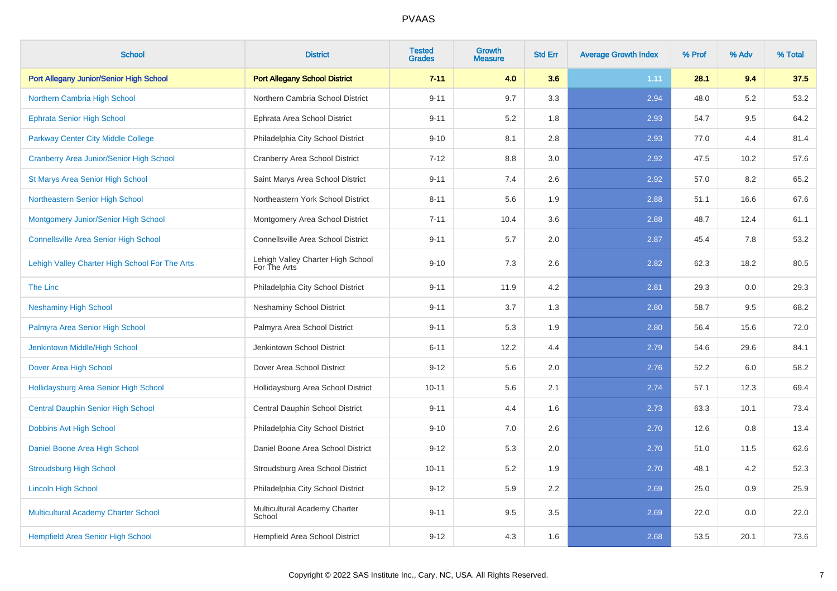| <b>School</b>                                   | <b>District</b>                                   | <b>Tested</b><br><b>Grades</b> | <b>Growth</b><br><b>Measure</b> | <b>Std Err</b> | <b>Average Growth Index</b> | % Prof | % Adv | % Total |
|-------------------------------------------------|---------------------------------------------------|--------------------------------|---------------------------------|----------------|-----------------------------|--------|-------|---------|
| Port Allegany Junior/Senior High School         | <b>Port Allegany School District</b>              | $7 - 11$                       | 4.0                             | 3.6            | 1.11                        | 28.1   | 9.4   | 37.5    |
| Northern Cambria High School                    | Northern Cambria School District                  | $9 - 11$                       | 9.7                             | 3.3            | 2.94                        | 48.0   | 5.2   | 53.2    |
| <b>Ephrata Senior High School</b>               | Ephrata Area School District                      | $9 - 11$                       | 5.2                             | 1.8            | 2.93                        | 54.7   | 9.5   | 64.2    |
| Parkway Center City Middle College              | Philadelphia City School District                 | $9 - 10$                       | 8.1                             | 2.8            | 2.93                        | 77.0   | 4.4   | 81.4    |
| <b>Cranberry Area Junior/Senior High School</b> | Cranberry Area School District                    | $7 - 12$                       | 8.8                             | 3.0            | 2.92                        | 47.5   | 10.2  | 57.6    |
| <b>St Marys Area Senior High School</b>         | Saint Marys Area School District                  | $9 - 11$                       | 7.4                             | 2.6            | 2.92                        | 57.0   | 8.2   | 65.2    |
| Northeastern Senior High School                 | Northeastern York School District                 | $8 - 11$                       | 5.6                             | 1.9            | 2.88                        | 51.1   | 16.6  | 67.6    |
| Montgomery Junior/Senior High School            | Montgomery Area School District                   | $7 - 11$                       | 10.4                            | 3.6            | 2.88                        | 48.7   | 12.4  | 61.1    |
| <b>Connellsville Area Senior High School</b>    | Connellsville Area School District                | $9 - 11$                       | 5.7                             | 2.0            | 2.87                        | 45.4   | 7.8   | 53.2    |
| Lehigh Valley Charter High School For The Arts  | Lehigh Valley Charter High School<br>For The Arts | $9 - 10$                       | 7.3                             | 2.6            | 2.82                        | 62.3   | 18.2  | 80.5    |
| The Linc                                        | Philadelphia City School District                 | $9 - 11$                       | 11.9                            | 4.2            | 2.81                        | 29.3   | 0.0   | 29.3    |
| <b>Neshaminy High School</b>                    | <b>Neshaminy School District</b>                  | $9 - 11$                       | 3.7                             | 1.3            | 2.80                        | 58.7   | 9.5   | 68.2    |
| Palmyra Area Senior High School                 | Palmyra Area School District                      | $9 - 11$                       | 5.3                             | 1.9            | 2.80                        | 56.4   | 15.6  | 72.0    |
| Jenkintown Middle/High School                   | Jenkintown School District                        | $6 - 11$                       | 12.2                            | 4.4            | 2.79                        | 54.6   | 29.6  | 84.1    |
| Dover Area High School                          | Dover Area School District                        | $9 - 12$                       | 5.6                             | 2.0            | 2.76                        | 52.2   | 6.0   | 58.2    |
| Hollidaysburg Area Senior High School           | Hollidaysburg Area School District                | $10 - 11$                      | 5.6                             | 2.1            | 2.74                        | 57.1   | 12.3  | 69.4    |
| <b>Central Dauphin Senior High School</b>       | Central Dauphin School District                   | $9 - 11$                       | 4.4                             | 1.6            | 2.73                        | 63.3   | 10.1  | 73.4    |
| Dobbins Avt High School                         | Philadelphia City School District                 | $9 - 10$                       | 7.0                             | 2.6            | 2.70                        | 12.6   | 0.8   | 13.4    |
| Daniel Boone Area High School                   | Daniel Boone Area School District                 | $9 - 12$                       | 5.3                             | 2.0            | 2.70                        | 51.0   | 11.5  | 62.6    |
| <b>Stroudsburg High School</b>                  | Stroudsburg Area School District                  | $10 - 11$                      | 5.2                             | 1.9            | 2.70                        | 48.1   | 4.2   | 52.3    |
| <b>Lincoln High School</b>                      | Philadelphia City School District                 | $9 - 12$                       | 5.9                             | $2.2\,$        | 2.69                        | 25.0   | 0.9   | 25.9    |
| <b>Multicultural Academy Charter School</b>     | Multicultural Academy Charter<br>School           | $9 - 11$                       | 9.5                             | 3.5            | 2.69                        | 22.0   | 0.0   | 22.0    |
| <b>Hempfield Area Senior High School</b>        | Hempfield Area School District                    | $9 - 12$                       | 4.3                             | 1.6            | 2.68                        | 53.5   | 20.1  | 73.6    |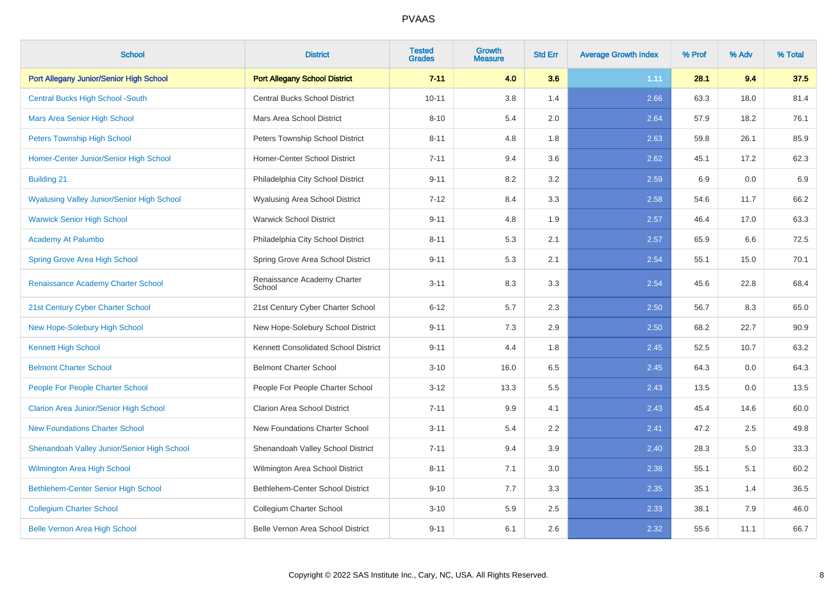| <b>School</b>                                     | <b>District</b>                       | <b>Tested</b><br><b>Grades</b> | <b>Growth</b><br><b>Measure</b> | <b>Std Err</b> | <b>Average Growth Index</b> | % Prof | % Adv | % Total |
|---------------------------------------------------|---------------------------------------|--------------------------------|---------------------------------|----------------|-----------------------------|--------|-------|---------|
| Port Allegany Junior/Senior High School           | <b>Port Allegany School District</b>  | $7 - 11$                       | 4.0                             | 3.6            | 1.11                        | 28.1   | 9.4   | 37.5    |
| <b>Central Bucks High School -South</b>           | <b>Central Bucks School District</b>  | $10 - 11$                      | 3.8                             | 1.4            | 2.66                        | 63.3   | 18.0  | 81.4    |
| <b>Mars Area Senior High School</b>               | Mars Area School District             | $8 - 10$                       | 5.4                             | 2.0            | 2.64                        | 57.9   | 18.2  | 76.1    |
| <b>Peters Township High School</b>                | Peters Township School District       | $8 - 11$                       | 4.8                             | 1.8            | 2.63                        | 59.8   | 26.1  | 85.9    |
| Homer-Center Junior/Senior High School            | Homer-Center School District          | $7 - 11$                       | 9.4                             | 3.6            | 2.62                        | 45.1   | 17.2  | 62.3    |
| <b>Building 21</b>                                | Philadelphia City School District     | $9 - 11$                       | 8.2                             | 3.2            | 2.59                        | 6.9    | 0.0   | 6.9     |
| <b>Wyalusing Valley Junior/Senior High School</b> | Wyalusing Area School District        | $7 - 12$                       | 8.4                             | 3.3            | 2.58                        | 54.6   | 11.7  | 66.2    |
| <b>Warwick Senior High School</b>                 | <b>Warwick School District</b>        | $9 - 11$                       | 4.8                             | 1.9            | 2.57                        | 46.4   | 17.0  | 63.3    |
| Academy At Palumbo                                | Philadelphia City School District     | $8 - 11$                       | 5.3                             | 2.1            | 2.57                        | 65.9   | 6.6   | 72.5    |
| <b>Spring Grove Area High School</b>              | Spring Grove Area School District     | $9 - 11$                       | 5.3                             | 2.1            | 2.54                        | 55.1   | 15.0  | 70.1    |
| Renaissance Academy Charter School                | Renaissance Academy Charter<br>School | $3 - 11$                       | 8.3                             | 3.3            | 2.54                        | 45.6   | 22.8  | 68.4    |
| 21st Century Cyber Charter School                 | 21st Century Cyber Charter School     | $6 - 12$                       | 5.7                             | 2.3            | 2.50                        | 56.7   | 8.3   | 65.0    |
| New Hope-Solebury High School                     | New Hope-Solebury School District     | $9 - 11$                       | 7.3                             | 2.9            | 2.50                        | 68.2   | 22.7  | 90.9    |
| <b>Kennett High School</b>                        | Kennett Consolidated School District  | $9 - 11$                       | 4.4                             | 1.8            | 2.45                        | 52.5   | 10.7  | 63.2    |
| <b>Belmont Charter School</b>                     | <b>Belmont Charter School</b>         | $3 - 10$                       | 16.0                            | 6.5            | 2.45                        | 64.3   | 0.0   | 64.3    |
| People For People Charter School                  | People For People Charter School      | $3 - 12$                       | 13.3                            | 5.5            | 2.43                        | 13.5   | 0.0   | 13.5    |
| <b>Clarion Area Junior/Senior High School</b>     | <b>Clarion Area School District</b>   | $7 - 11$                       | 9.9                             | 4.1            | 2.43                        | 45.4   | 14.6  | 60.0    |
| <b>New Foundations Charter School</b>             | New Foundations Charter School        | $3 - 11$                       | 5.4                             | 2.2            | 2.41                        | 47.2   | 2.5   | 49.8    |
| Shenandoah Valley Junior/Senior High School       | Shenandoah Valley School District     | $7 - 11$                       | 9.4                             | 3.9            | 2.40                        | 28.3   | 5.0   | 33.3    |
| <b>Wilmington Area High School</b>                | Wilmington Area School District       | $8 - 11$                       | 7.1                             | 3.0            | 2.38                        | 55.1   | 5.1   | 60.2    |
| Bethlehem-Center Senior High School               | Bethlehem-Center School District      | $9 - 10$                       | 7.7                             | 3.3            | 2.35                        | 35.1   | 1.4   | 36.5    |
| <b>Collegium Charter School</b>                   | Collegium Charter School              | $3 - 10$                       | 5.9                             | 2.5            | 2.33                        | 38.1   | 7.9   | 46.0    |
| <b>Belle Vernon Area High School</b>              | Belle Vernon Area School District     | $9 - 11$                       | 6.1                             | 2.6            | 2.32                        | 55.6   | 11.1  | 66.7    |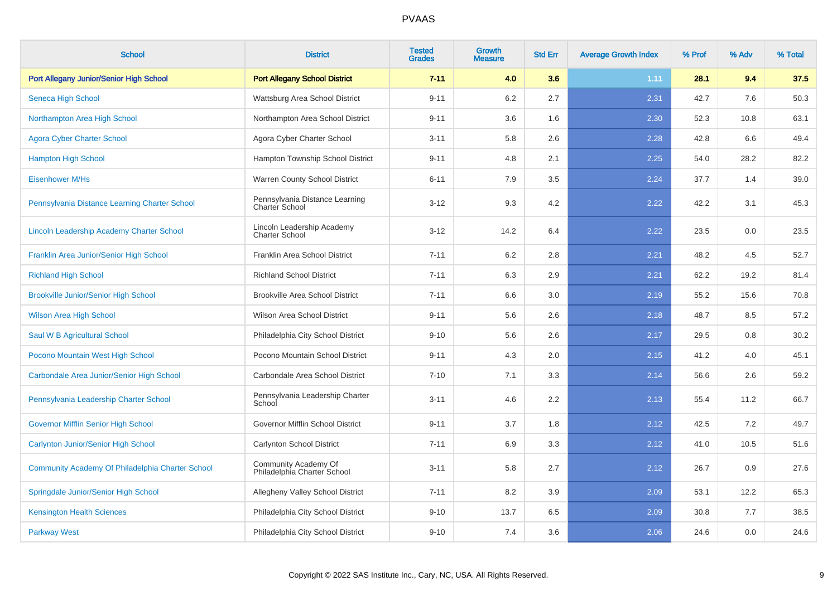| <b>School</b>                                    | <b>District</b>                                         | <b>Tested</b><br><b>Grades</b> | <b>Growth</b><br><b>Measure</b> | <b>Std Err</b> | <b>Average Growth Index</b> | % Prof | % Adv | % Total |
|--------------------------------------------------|---------------------------------------------------------|--------------------------------|---------------------------------|----------------|-----------------------------|--------|-------|---------|
| Port Allegany Junior/Senior High School          | <b>Port Allegany School District</b>                    | $7 - 11$                       | 4.0                             | 3.6            | 1.11                        | 28.1   | 9.4   | 37.5    |
| Seneca High School                               | Wattsburg Area School District                          | $9 - 11$                       | 6.2                             | 2.7            | 2.31                        | 42.7   | 7.6   | 50.3    |
| Northampton Area High School                     | Northampton Area School District                        | $9 - 11$                       | 3.6                             | 1.6            | 2.30                        | 52.3   | 10.8  | 63.1    |
| <b>Agora Cyber Charter School</b>                | Agora Cyber Charter School                              | $3 - 11$                       | 5.8                             | 2.6            | 2.28                        | 42.8   | 6.6   | 49.4    |
| <b>Hampton High School</b>                       | Hampton Township School District                        | $9 - 11$                       | 4.8                             | 2.1            | 2.25                        | 54.0   | 28.2  | 82.2    |
| <b>Eisenhower M/Hs</b>                           | Warren County School District                           | $6 - 11$                       | 7.9                             | 3.5            | 2.24                        | 37.7   | 1.4   | 39.0    |
| Pennsylvania Distance Learning Charter School    | Pennsylvania Distance Learning<br><b>Charter School</b> | $3 - 12$                       | 9.3                             | 4.2            | 2.22                        | 42.2   | 3.1   | 45.3    |
| Lincoln Leadership Academy Charter School        | Lincoln Leadership Academy<br><b>Charter School</b>     | $3 - 12$                       | 14.2                            | 6.4            | 2.22                        | 23.5   | 0.0   | 23.5    |
| Franklin Area Junior/Senior High School          | Franklin Area School District                           | $7 - 11$                       | 6.2                             | 2.8            | 2.21                        | 48.2   | 4.5   | 52.7    |
| <b>Richland High School</b>                      | <b>Richland School District</b>                         | $7 - 11$                       | 6.3                             | 2.9            | 2.21                        | 62.2   | 19.2  | 81.4    |
| <b>Brookville Junior/Senior High School</b>      | <b>Brookville Area School District</b>                  | $7 - 11$                       | 6.6                             | 3.0            | 2.19                        | 55.2   | 15.6  | 70.8    |
| <b>Wilson Area High School</b>                   | Wilson Area School District                             | $9 - 11$                       | 5.6                             | 2.6            | 2.18                        | 48.7   | 8.5   | 57.2    |
| Saul W B Agricultural School                     | Philadelphia City School District                       | $9 - 10$                       | 5.6                             | 2.6            | 2.17                        | 29.5   | 0.8   | 30.2    |
| Pocono Mountain West High School                 | Pocono Mountain School District                         | $9 - 11$                       | 4.3                             | 2.0            | 2.15                        | 41.2   | 4.0   | 45.1    |
| Carbondale Area Junior/Senior High School        | Carbondale Area School District                         | $7 - 10$                       | 7.1                             | 3.3            | 2.14                        | 56.6   | 2.6   | 59.2    |
| Pennsylvania Leadership Charter School           | Pennsylvania Leadership Charter<br>School               | $3 - 11$                       | 4.6                             | 2.2            | 2.13                        | 55.4   | 11.2  | 66.7    |
| <b>Governor Mifflin Senior High School</b>       | Governor Mifflin School District                        | $9 - 11$                       | 3.7                             | 1.8            | 2.12                        | 42.5   | 7.2   | 49.7    |
| <b>Carlynton Junior/Senior High School</b>       | Carlynton School District                               | $7 - 11$                       | 6.9                             | 3.3            | 2.12                        | 41.0   | 10.5  | 51.6    |
| Community Academy Of Philadelphia Charter School | Community Academy Of<br>Philadelphia Charter School     | $3 - 11$                       | 5.8                             | 2.7            | 2.12                        | 26.7   | 0.9   | 27.6    |
| Springdale Junior/Senior High School             | Allegheny Valley School District                        | $7 - 11$                       | 8.2                             | 3.9            | 2.09                        | 53.1   | 12.2  | 65.3    |
| <b>Kensington Health Sciences</b>                | Philadelphia City School District                       | $9 - 10$                       | 13.7                            | 6.5            | 2.09                        | 30.8   | 7.7   | 38.5    |
| <b>Parkway West</b>                              | Philadelphia City School District                       | $9 - 10$                       | 7.4                             | 3.6            | 2.06                        | 24.6   | 0.0   | 24.6    |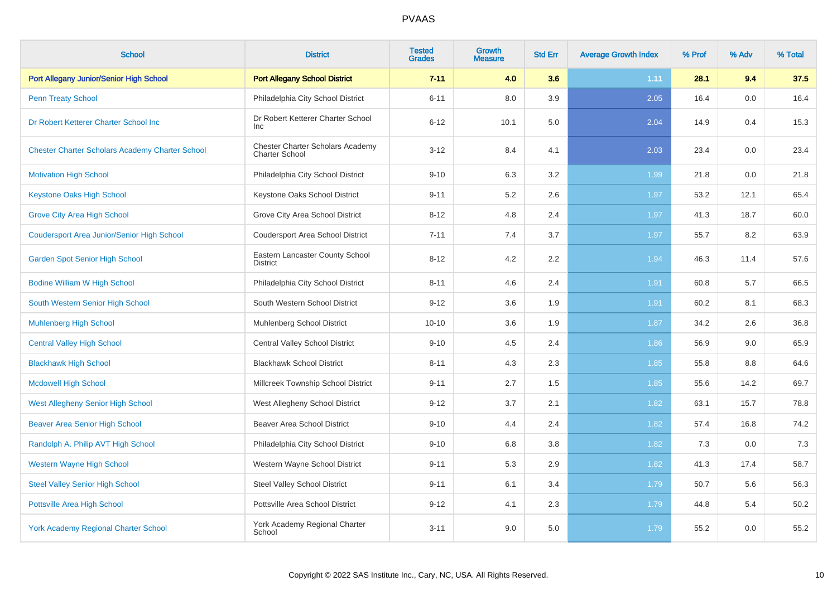| <b>School</b>                                          | <b>District</b>                                           | <b>Tested</b><br><b>Grades</b> | <b>Growth</b><br><b>Measure</b> | <b>Std Err</b> | <b>Average Growth Index</b> | % Prof | % Adv | % Total |
|--------------------------------------------------------|-----------------------------------------------------------|--------------------------------|---------------------------------|----------------|-----------------------------|--------|-------|---------|
| Port Allegany Junior/Senior High School                | <b>Port Allegany School District</b>                      | $7 - 11$                       | 4.0                             | 3.6            | 1.11                        | 28.1   | 9.4   | 37.5    |
| <b>Penn Treaty School</b>                              | Philadelphia City School District                         | $6 - 11$                       | 8.0                             | 3.9            | 2.05                        | 16.4   | 0.0   | 16.4    |
| Dr Robert Ketterer Charter School Inc                  | Dr Robert Ketterer Charter School<br><b>Inc</b>           | $6 - 12$                       | 10.1                            | 5.0            | 2.04                        | 14.9   | 0.4   | 15.3    |
| <b>Chester Charter Scholars Academy Charter School</b> | Chester Charter Scholars Academy<br><b>Charter School</b> | $3 - 12$                       | 8.4                             | 4.1            | 2.03                        | 23.4   | 0.0   | 23.4    |
| <b>Motivation High School</b>                          | Philadelphia City School District                         | $9 - 10$                       | 6.3                             | 3.2            | 1.99                        | 21.8   | 0.0   | 21.8    |
| <b>Keystone Oaks High School</b>                       | Keystone Oaks School District                             | $9 - 11$                       | 5.2                             | 2.6            | 1.97                        | 53.2   | 12.1  | 65.4    |
| <b>Grove City Area High School</b>                     | Grove City Area School District                           | $8 - 12$                       | 4.8                             | 2.4            | 1.97                        | 41.3   | 18.7  | 60.0    |
| <b>Coudersport Area Junior/Senior High School</b>      | <b>Coudersport Area School District</b>                   | $7 - 11$                       | 7.4                             | 3.7            | 1.97                        | 55.7   | 8.2   | 63.9    |
| <b>Garden Spot Senior High School</b>                  | Eastern Lancaster County School<br><b>District</b>        | $8 - 12$                       | 4.2                             | 2.2            | 1.94                        | 46.3   | 11.4  | 57.6    |
| <b>Bodine William W High School</b>                    | Philadelphia City School District                         | $8 - 11$                       | 4.6                             | 2.4            | 1.91                        | 60.8   | 5.7   | 66.5    |
| South Western Senior High School                       | South Western School District                             | $9 - 12$                       | 3.6                             | 1.9            | 1.91                        | 60.2   | 8.1   | 68.3    |
| <b>Muhlenberg High School</b>                          | Muhlenberg School District                                | $10 - 10$                      | 3.6                             | 1.9            | 1.87                        | 34.2   | 2.6   | 36.8    |
| <b>Central Valley High School</b>                      | <b>Central Valley School District</b>                     | $9 - 10$                       | 4.5                             | 2.4            | 1.86                        | 56.9   | 9.0   | 65.9    |
| <b>Blackhawk High School</b>                           | <b>Blackhawk School District</b>                          | $8 - 11$                       | 4.3                             | 2.3            | 1.85                        | 55.8   | 8.8   | 64.6    |
| <b>Mcdowell High School</b>                            | Millcreek Township School District                        | $9 - 11$                       | 2.7                             | 1.5            | 1.85                        | 55.6   | 14.2  | 69.7    |
| <b>West Allegheny Senior High School</b>               | West Allegheny School District                            | $9 - 12$                       | 3.7                             | 2.1            | 1.82                        | 63.1   | 15.7  | 78.8    |
| <b>Beaver Area Senior High School</b>                  | <b>Beaver Area School District</b>                        | $9 - 10$                       | 4.4                             | 2.4            | 1.82                        | 57.4   | 16.8  | 74.2    |
| Randolph A. Philip AVT High School                     | Philadelphia City School District                         | $9 - 10$                       | 6.8                             | 3.8            | 1.82                        | 7.3    | 0.0   | 7.3     |
| <b>Western Wayne High School</b>                       | Western Wayne School District                             | $9 - 11$                       | 5.3                             | 2.9            | 1.82                        | 41.3   | 17.4  | 58.7    |
| <b>Steel Valley Senior High School</b>                 | <b>Steel Valley School District</b>                       | $9 - 11$                       | 6.1                             | 3.4            | 1.79                        | 50.7   | 5.6   | 56.3    |
| Pottsville Area High School                            | Pottsville Area School District                           | $9 - 12$                       | 4.1                             | 2.3            | 1.79                        | 44.8   | 5.4   | 50.2    |
| <b>York Academy Regional Charter School</b>            | York Academy Regional Charter<br>School                   | $3 - 11$                       | 9.0                             | 5.0            | 1.79                        | 55.2   | 0.0   | 55.2    |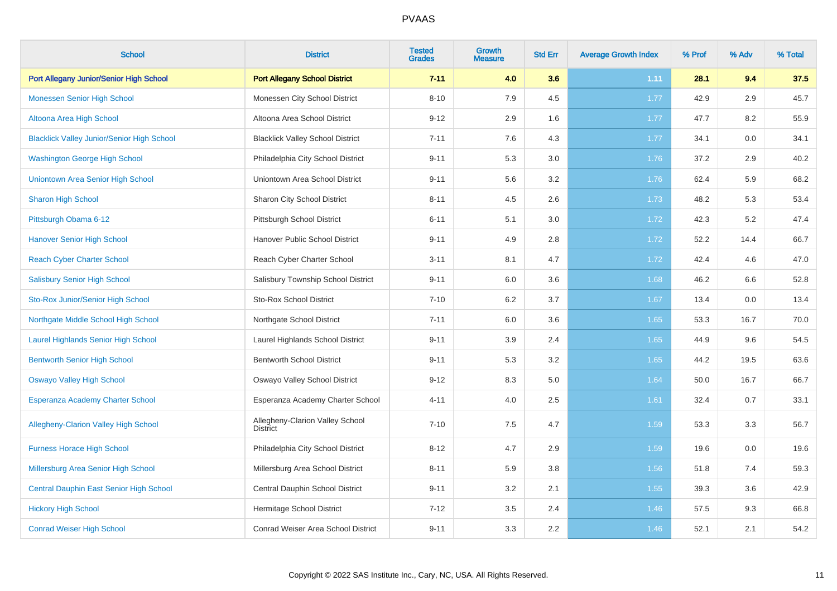| <b>School</b>                                     | <b>District</b>                                    | <b>Tested</b><br><b>Grades</b> | <b>Growth</b><br><b>Measure</b> | <b>Std Err</b> | <b>Average Growth Index</b> | % Prof | % Adv | % Total |
|---------------------------------------------------|----------------------------------------------------|--------------------------------|---------------------------------|----------------|-----------------------------|--------|-------|---------|
| Port Allegany Junior/Senior High School           | <b>Port Allegany School District</b>               | $7 - 11$                       | 4.0                             | 3.6            | 1.11                        | 28.1   | 9.4   | 37.5    |
| <b>Monessen Senior High School</b>                | Monessen City School District                      | $8 - 10$                       | 7.9                             | 4.5            | 1.77                        | 42.9   | 2.9   | 45.7    |
| Altoona Area High School                          | Altoona Area School District                       | $9 - 12$                       | 2.9                             | 1.6            | 1.77                        | 47.7   | 8.2   | 55.9    |
| <b>Blacklick Valley Junior/Senior High School</b> | <b>Blacklick Valley School District</b>            | $7 - 11$                       | 7.6                             | 4.3            | 1.77                        | 34.1   | 0.0   | 34.1    |
| <b>Washington George High School</b>              | Philadelphia City School District                  | $9 - 11$                       | 5.3                             | 3.0            | 1.76                        | 37.2   | 2.9   | 40.2    |
| Uniontown Area Senior High School                 | Uniontown Area School District                     | $9 - 11$                       | 5.6                             | 3.2            | 1.76                        | 62.4   | 5.9   | 68.2    |
| Sharon High School                                | Sharon City School District                        | $8 - 11$                       | 4.5                             | 2.6            | 1.73                        | 48.2   | 5.3   | 53.4    |
| Pittsburgh Obama 6-12                             | Pittsburgh School District                         | $6 - 11$                       | 5.1                             | 3.0            | 1.72                        | 42.3   | 5.2   | 47.4    |
| <b>Hanover Senior High School</b>                 | Hanover Public School District                     | $9 - 11$                       | 4.9                             | 2.8            | 1.72                        | 52.2   | 14.4  | 66.7    |
| <b>Reach Cyber Charter School</b>                 | Reach Cyber Charter School                         | $3 - 11$                       | 8.1                             | 4.7            | 1.72                        | 42.4   | 4.6   | 47.0    |
| <b>Salisbury Senior High School</b>               | Salisbury Township School District                 | $9 - 11$                       | 6.0                             | 3.6            | 1.68                        | 46.2   | 6.6   | 52.8    |
| Sto-Rox Junior/Senior High School                 | <b>Sto-Rox School District</b>                     | $7 - 10$                       | 6.2                             | 3.7            | 1.67                        | 13.4   | 0.0   | 13.4    |
| Northgate Middle School High School               | Northgate School District                          | $7 - 11$                       | 6.0                             | 3.6            | 1.65                        | 53.3   | 16.7  | 70.0    |
| <b>Laurel Highlands Senior High School</b>        | Laurel Highlands School District                   | $9 - 11$                       | 3.9                             | 2.4            | 1.65                        | 44.9   | 9.6   | 54.5    |
| <b>Bentworth Senior High School</b>               | <b>Bentworth School District</b>                   | $9 - 11$                       | 5.3                             | 3.2            | 1.65                        | 44.2   | 19.5  | 63.6    |
| <b>Oswayo Valley High School</b>                  | Oswayo Valley School District                      | $9 - 12$                       | 8.3                             | 5.0            | 1.64                        | 50.0   | 16.7  | 66.7    |
| Esperanza Academy Charter School                  | Esperanza Academy Charter School                   | $4 - 11$                       | 4.0                             | 2.5            | 1.61                        | 32.4   | 0.7   | 33.1    |
| Allegheny-Clarion Valley High School              | Allegheny-Clarion Valley School<br><b>District</b> | $7 - 10$                       | 7.5                             | 4.7            | 1.59                        | 53.3   | 3.3   | 56.7    |
| <b>Furness Horace High School</b>                 | Philadelphia City School District                  | $8 - 12$                       | 4.7                             | 2.9            | 1.59                        | 19.6   | 0.0   | 19.6    |
| Millersburg Area Senior High School               | Millersburg Area School District                   | $8 - 11$                       | 5.9                             | 3.8            | 1.56                        | 51.8   | 7.4   | 59.3    |
| Central Dauphin East Senior High School           | Central Dauphin School District                    | $9 - 11$                       | 3.2                             | 2.1            | 1.55                        | 39.3   | 3.6   | 42.9    |
| <b>Hickory High School</b>                        | Hermitage School District                          | $7 - 12$                       | 3.5                             | 2.4            | 1.46                        | 57.5   | 9.3   | 66.8    |
| <b>Conrad Weiser High School</b>                  | Conrad Weiser Area School District                 | $9 - 11$                       | 3.3                             | 2.2            | 1.46                        | 52.1   | 2.1   | 54.2    |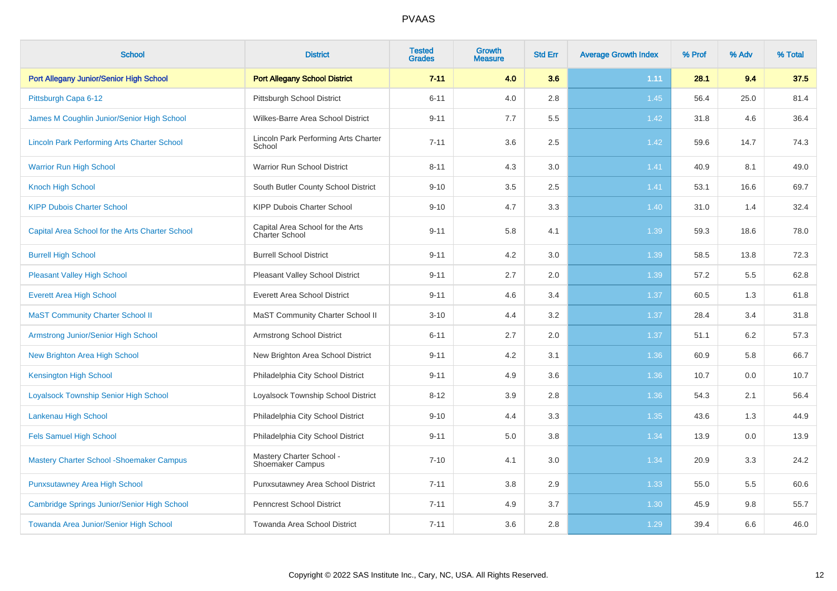| <b>School</b>                                      | <b>District</b>                                     | <b>Tested</b><br><b>Grades</b> | <b>Growth</b><br><b>Measure</b> | <b>Std Err</b> | <b>Average Growth Index</b> | % Prof | % Adv | % Total |
|----------------------------------------------------|-----------------------------------------------------|--------------------------------|---------------------------------|----------------|-----------------------------|--------|-------|---------|
| Port Allegany Junior/Senior High School            | <b>Port Allegany School District</b>                | $7 - 11$                       | 4.0                             | 3.6            | 1.11                        | 28.1   | 9.4   | 37.5    |
| Pittsburgh Capa 6-12                               | <b>Pittsburgh School District</b>                   | $6 - 11$                       | 4.0                             | 2.8            | 1.45                        | 56.4   | 25.0  | 81.4    |
| James M Coughlin Junior/Senior High School         | Wilkes-Barre Area School District                   | $9 - 11$                       | 7.7                             | 5.5            | 1.42                        | 31.8   | 4.6   | 36.4    |
| <b>Lincoln Park Performing Arts Charter School</b> | Lincoln Park Performing Arts Charter<br>School      | $7 - 11$                       | 3.6                             | 2.5            | 1.42                        | 59.6   | 14.7  | 74.3    |
| <b>Warrior Run High School</b>                     | Warrior Run School District                         | $8 - 11$                       | 4.3                             | 3.0            | 1.41                        | 40.9   | 8.1   | 49.0    |
| <b>Knoch High School</b>                           | South Butler County School District                 | $9 - 10$                       | 3.5                             | 2.5            | 1.41                        | 53.1   | 16.6  | 69.7    |
| <b>KIPP Dubois Charter School</b>                  | KIPP Dubois Charter School                          | $9 - 10$                       | 4.7                             | 3.3            | 1.40                        | 31.0   | 1.4   | 32.4    |
| Capital Area School for the Arts Charter School    | Capital Area School for the Arts<br>Charter School  | $9 - 11$                       | 5.8                             | 4.1            | 1.39                        | 59.3   | 18.6  | 78.0    |
| <b>Burrell High School</b>                         | <b>Burrell School District</b>                      | $9 - 11$                       | 4.2                             | 3.0            | 1.39                        | 58.5   | 13.8  | 72.3    |
| <b>Pleasant Valley High School</b>                 | Pleasant Valley School District                     | $9 - 11$                       | 2.7                             | 2.0            | 1.39                        | 57.2   | 5.5   | 62.8    |
| <b>Everett Area High School</b>                    | <b>Everett Area School District</b>                 | $9 - 11$                       | 4.6                             | 3.4            | 1.37                        | 60.5   | 1.3   | 61.8    |
| <b>MaST Community Charter School II</b>            | MaST Community Charter School II                    | $3 - 10$                       | 4.4                             | 3.2            | 1.37                        | 28.4   | 3.4   | 31.8    |
| Armstrong Junior/Senior High School                | <b>Armstrong School District</b>                    | $6 - 11$                       | 2.7                             | 2.0            | 1.37                        | 51.1   | 6.2   | 57.3    |
| New Brighton Area High School                      | New Brighton Area School District                   | $9 - 11$                       | 4.2                             | 3.1            | 1.36                        | 60.9   | 5.8   | 66.7    |
| <b>Kensington High School</b>                      | Philadelphia City School District                   | $9 - 11$                       | 4.9                             | 3.6            | 1.36                        | 10.7   | 0.0   | 10.7    |
| <b>Loyalsock Township Senior High School</b>       | Loyalsock Township School District                  | $8 - 12$                       | 3.9                             | 2.8            | 1.36                        | 54.3   | 2.1   | 56.4    |
| Lankenau High School                               | Philadelphia City School District                   | $9 - 10$                       | 4.4                             | 3.3            | 1.35                        | 43.6   | 1.3   | 44.9    |
| <b>Fels Samuel High School</b>                     | Philadelphia City School District                   | $9 - 11$                       | 5.0                             | 3.8            | 1.34                        | 13.9   | 0.0   | 13.9    |
| <b>Mastery Charter School - Shoemaker Campus</b>   | Mastery Charter School -<br><b>Shoemaker Campus</b> | $7 - 10$                       | 4.1                             | 3.0            | 1.34                        | 20.9   | 3.3   | 24.2    |
| <b>Punxsutawney Area High School</b>               | Punxsutawney Area School District                   | $7 - 11$                       | 3.8                             | 2.9            | 1.33                        | 55.0   | 5.5   | 60.6    |
| Cambridge Springs Junior/Senior High School        | Penncrest School District                           | $7 - 11$                       | 4.9                             | 3.7            | 1.30                        | 45.9   | 9.8   | 55.7    |
| Towanda Area Junior/Senior High School             | Towanda Area School District                        | $7 - 11$                       | 3.6                             | 2.8            | 1.29                        | 39.4   | 6.6   | 46.0    |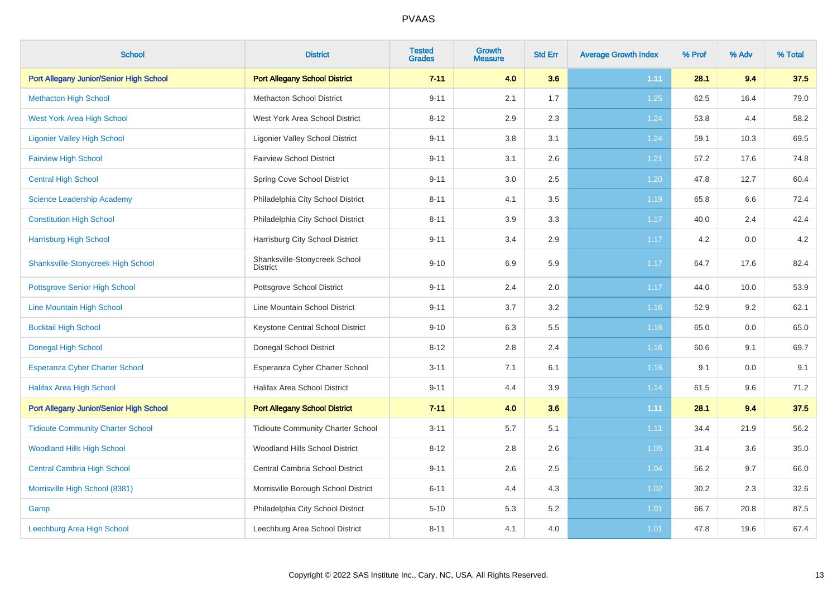| <b>School</b>                             | <b>District</b>                                  | <b>Tested</b><br><b>Grades</b> | <b>Growth</b><br><b>Measure</b> | <b>Std Err</b> | <b>Average Growth Index</b> | % Prof | % Adv | % Total |
|-------------------------------------------|--------------------------------------------------|--------------------------------|---------------------------------|----------------|-----------------------------|--------|-------|---------|
| Port Allegany Junior/Senior High School   | <b>Port Allegany School District</b>             | $7 - 11$                       | 4.0                             | 3.6            | 1.11                        | 28.1   | 9.4   | 37.5    |
| <b>Methacton High School</b>              | <b>Methacton School District</b>                 | $9 - 11$                       | 2.1                             | 1.7            | 1.25                        | 62.5   | 16.4  | 79.0    |
| <b>West York Area High School</b>         | West York Area School District                   | $8 - 12$                       | 2.9                             | 2.3            | 1.24                        | 53.8   | 4.4   | 58.2    |
| <b>Ligonier Valley High School</b>        | <b>Ligonier Valley School District</b>           | $9 - 11$                       | 3.8                             | 3.1            | 1.24                        | 59.1   | 10.3  | 69.5    |
| <b>Fairview High School</b>               | <b>Fairview School District</b>                  | $9 - 11$                       | 3.1                             | 2.6            | 1.21                        | 57.2   | 17.6  | 74.8    |
| <b>Central High School</b>                | Spring Cove School District                      | $9 - 11$                       | 3.0                             | 2.5            | 1.20                        | 47.8   | 12.7  | 60.4    |
| <b>Science Leadership Academy</b>         | Philadelphia City School District                | $8 - 11$                       | 4.1                             | 3.5            | 1.19                        | 65.8   | 6.6   | 72.4    |
| <b>Constitution High School</b>           | Philadelphia City School District                | $8 - 11$                       | 3.9                             | 3.3            | 1.17                        | 40.0   | 2.4   | 42.4    |
| <b>Harrisburg High School</b>             | Harrisburg City School District                  | $9 - 11$                       | 3.4                             | 2.9            | 1.17                        | 4.2    | 0.0   | 4.2     |
| <b>Shanksville-Stonycreek High School</b> | Shanksville-Stonycreek School<br><b>District</b> | $9 - 10$                       | 6.9                             | 5.9            | 1.17                        | 64.7   | 17.6  | 82.4    |
| <b>Pottsgrove Senior High School</b>      | Pottsgrove School District                       | $9 - 11$                       | 2.4                             | $2.0\,$        | 1.17                        | 44.0   | 10.0  | 53.9    |
| Line Mountain High School                 | Line Mountain School District                    | $9 - 11$                       | 3.7                             | $3.2\,$        | 1.16                        | 52.9   | 9.2   | 62.1    |
| <b>Bucktail High School</b>               | Keystone Central School District                 | $9 - 10$                       | 6.3                             | 5.5            | 1.16                        | 65.0   | 0.0   | 65.0    |
| <b>Donegal High School</b>                | Donegal School District                          | $8 - 12$                       | 2.8                             | 2.4            | 1.16                        | 60.6   | 9.1   | 69.7    |
| <b>Esperanza Cyber Charter School</b>     | Esperanza Cyber Charter School                   | $3 - 11$                       | 7.1                             | 6.1            | 1.16                        | 9.1    | 0.0   | 9.1     |
| <b>Halifax Area High School</b>           | Halifax Area School District                     | $9 - 11$                       | 4.4                             | 3.9            | 1.14                        | 61.5   | 9.6   | 71.2    |
| Port Allegany Junior/Senior High School   | <b>Port Allegany School District</b>             | $7 - 11$                       | 4.0                             | 3.6            | 1.11                        | 28.1   | 9.4   | 37.5    |
| <b>Tidioute Community Charter School</b>  | <b>Tidioute Community Charter School</b>         | $3 - 11$                       | 5.7                             | 5.1            | 1.11                        | 34.4   | 21.9  | 56.2    |
| <b>Woodland Hills High School</b>         | Woodland Hills School District                   | $8 - 12$                       | 2.8                             | 2.6            | 1.05                        | 31.4   | 3.6   | 35.0    |
| <b>Central Cambria High School</b>        | Central Cambria School District                  | $9 - 11$                       | 2.6                             | 2.5            | 1.04                        | 56.2   | 9.7   | 66.0    |
| Morrisville High School (8381)            | Morrisville Borough School District              | $6 - 11$                       | 4.4                             | 4.3            | 1.02                        | 30.2   | 2.3   | 32.6    |
| Gamp                                      | Philadelphia City School District                | $5 - 10$                       | 5.3                             | 5.2            | 1.01                        | 66.7   | 20.8  | 87.5    |
| Leechburg Area High School                | Leechburg Area School District                   | $8 - 11$                       | 4.1                             | 4.0            | 1.01                        | 47.8   | 19.6  | 67.4    |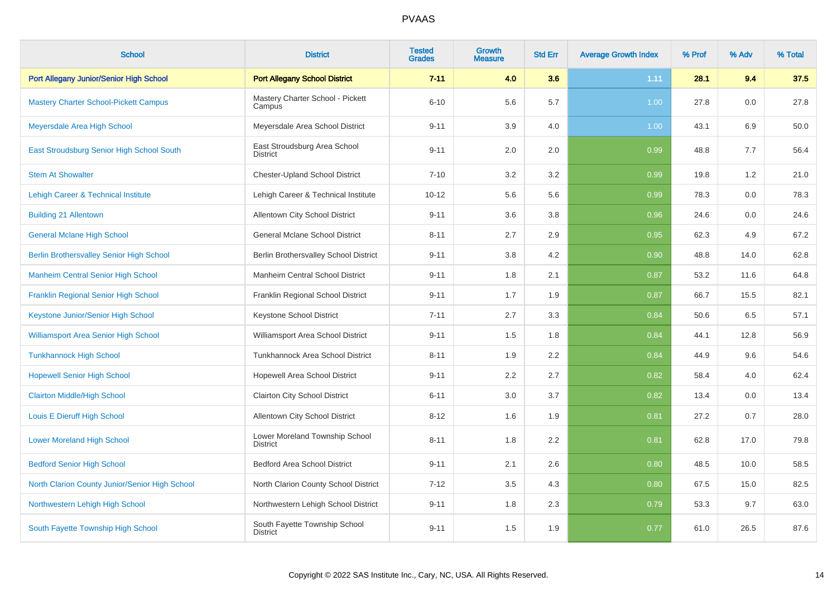| <b>School</b>                                   | <b>District</b>                                   | <b>Tested</b><br><b>Grades</b> | Growth<br><b>Measure</b> | <b>Std Err</b> | <b>Average Growth Index</b> | % Prof | % Adv | % Total |
|-------------------------------------------------|---------------------------------------------------|--------------------------------|--------------------------|----------------|-----------------------------|--------|-------|---------|
| Port Allegany Junior/Senior High School         | <b>Port Allegany School District</b>              | $7 - 11$                       | 4.0                      | 3.6            | 1.11                        | 28.1   | 9.4   | 37.5    |
| <b>Mastery Charter School-Pickett Campus</b>    | Mastery Charter School - Pickett<br>Campus        | $6 - 10$                       | 5.6                      | 5.7            | 1.00                        | 27.8   | 0.0   | 27.8    |
| Meyersdale Area High School                     | Meyersdale Area School District                   | $9 - 11$                       | 3.9                      | 4.0            | 1.00                        | 43.1   | 6.9   | 50.0    |
| East Stroudsburg Senior High School South       | East Stroudsburg Area School<br><b>District</b>   | $9 - 11$                       | 2.0                      | 2.0            | 0.99                        | 48.8   | 7.7   | 56.4    |
| <b>Stem At Showalter</b>                        | <b>Chester-Upland School District</b>             | $7 - 10$                       | 3.2                      | 3.2            | 0.99                        | 19.8   | 1.2   | 21.0    |
| <b>Lehigh Career &amp; Technical Institute</b>  | Lehigh Career & Technical Institute               | $10 - 12$                      | 5.6                      | 5.6            | 0.99                        | 78.3   | 0.0   | 78.3    |
| <b>Building 21 Allentown</b>                    | Allentown City School District                    | $9 - 11$                       | 3.6                      | 3.8            | 0.96                        | 24.6   | 0.0   | 24.6    |
| <b>General Mclane High School</b>               | <b>General Mclane School District</b>             | $8 - 11$                       | 2.7                      | 2.9            | 0.95                        | 62.3   | 4.9   | 67.2    |
| <b>Berlin Brothersvalley Senior High School</b> | Berlin Brothersvalley School District             | $9 - 11$                       | 3.8                      | 4.2            | 0.90                        | 48.8   | 14.0  | 62.8    |
| <b>Manheim Central Senior High School</b>       | Manheim Central School District                   | $9 - 11$                       | 1.8                      | 2.1            | 0.87                        | 53.2   | 11.6  | 64.8    |
| Franklin Regional Senior High School            | Franklin Regional School District                 | $9 - 11$                       | 1.7                      | 1.9            | 0.87                        | 66.7   | 15.5  | 82.1    |
| Keystone Junior/Senior High School              | Keystone School District                          | $7 - 11$                       | 2.7                      | 3.3            | 0.84                        | 50.6   | 6.5   | 57.1    |
| <b>Williamsport Area Senior High School</b>     | Williamsport Area School District                 | $9 - 11$                       | 1.5                      | 1.8            | 0.84                        | 44.1   | 12.8  | 56.9    |
| <b>Tunkhannock High School</b>                  | Tunkhannock Area School District                  | $8 - 11$                       | 1.9                      | 2.2            | 0.84                        | 44.9   | 9.6   | 54.6    |
| <b>Hopewell Senior High School</b>              | Hopewell Area School District                     | $9 - 11$                       | 2.2                      | 2.7            | 0.82                        | 58.4   | 4.0   | 62.4    |
| <b>Clairton Middle/High School</b>              | Clairton City School District                     | $6 - 11$                       | 3.0                      | 3.7            | 0.82                        | 13.4   | 0.0   | 13.4    |
| Louis E Dieruff High School                     | Allentown City School District                    | $8 - 12$                       | 1.6                      | 1.9            | 0.81                        | 27.2   | 0.7   | 28.0    |
| <b>Lower Moreland High School</b>               | Lower Moreland Township School<br><b>District</b> | $8 - 11$                       | 1.8                      | 2.2            | 0.81                        | 62.8   | 17.0  | 79.8    |
| <b>Bedford Senior High School</b>               | <b>Bedford Area School District</b>               | $9 - 11$                       | 2.1                      | 2.6            | 0.80                        | 48.5   | 10.0  | 58.5    |
| North Clarion County Junior/Senior High School  | North Clarion County School District              | $7 - 12$                       | $3.5\,$                  | 4.3            | 0.80                        | 67.5   | 15.0  | 82.5    |
| Northwestern Lehigh High School                 | Northwestern Lehigh School District               | $9 - 11$                       | 1.8                      | 2.3            | 0.79                        | 53.3   | 9.7   | 63.0    |
| South Fayette Township High School              | South Fayette Township School<br><b>District</b>  | $9 - 11$                       | 1.5                      | 1.9            | 0.77                        | 61.0   | 26.5  | 87.6    |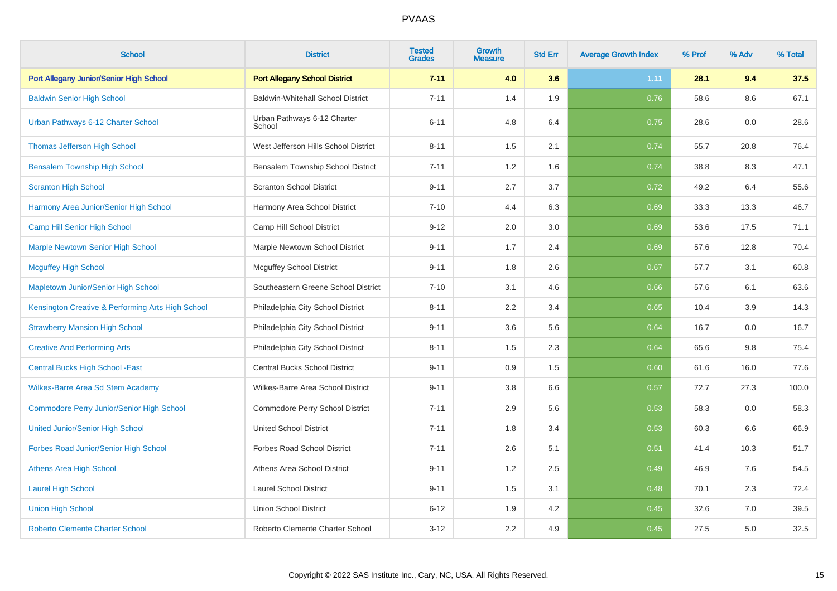| <b>School</b>                                     | <b>District</b>                          | <b>Tested</b><br><b>Grades</b> | <b>Growth</b><br><b>Measure</b> | <b>Std Err</b> | <b>Average Growth Index</b> | % Prof | % Adv | % Total |
|---------------------------------------------------|------------------------------------------|--------------------------------|---------------------------------|----------------|-----------------------------|--------|-------|---------|
| Port Allegany Junior/Senior High School           | <b>Port Allegany School District</b>     | $7 - 11$                       | 4.0                             | 3.6            | 1.11                        | 28.1   | 9.4   | 37.5    |
| <b>Baldwin Senior High School</b>                 | <b>Baldwin-Whitehall School District</b> | $7 - 11$                       | 1.4                             | 1.9            | 0.76                        | 58.6   | 8.6   | 67.1    |
| Urban Pathways 6-12 Charter School                | Urban Pathways 6-12 Charter<br>School    | $6 - 11$                       | 4.8                             | 6.4            | 0.75                        | 28.6   | 0.0   | 28.6    |
| <b>Thomas Jefferson High School</b>               | West Jefferson Hills School District     | $8 - 11$                       | 1.5                             | 2.1            | 0.74                        | 55.7   | 20.8  | 76.4    |
| <b>Bensalem Township High School</b>              | Bensalem Township School District        | $7 - 11$                       | 1.2                             | 1.6            | 0.74                        | 38.8   | 8.3   | 47.1    |
| <b>Scranton High School</b>                       | <b>Scranton School District</b>          | $9 - 11$                       | 2.7                             | 3.7            | 0.72                        | 49.2   | 6.4   | 55.6    |
| Harmony Area Junior/Senior High School            | Harmony Area School District             | $7 - 10$                       | 4.4                             | 6.3            | 0.69                        | 33.3   | 13.3  | 46.7    |
| Camp Hill Senior High School                      | Camp Hill School District                | $9 - 12$                       | 2.0                             | 3.0            | 0.69                        | 53.6   | 17.5  | 71.1    |
| <b>Marple Newtown Senior High School</b>          | Marple Newtown School District           | $9 - 11$                       | 1.7                             | 2.4            | 0.69                        | 57.6   | 12.8  | 70.4    |
| <b>Mcguffey High School</b>                       | <b>Mcguffey School District</b>          | $9 - 11$                       | 1.8                             | 2.6            | 0.67                        | 57.7   | 3.1   | 60.8    |
| Mapletown Junior/Senior High School               | Southeastern Greene School District      | $7 - 10$                       | 3.1                             | 4.6            | 0.66                        | 57.6   | 6.1   | 63.6    |
| Kensington Creative & Performing Arts High School | Philadelphia City School District        | $8 - 11$                       | 2.2                             | 3.4            | 0.65                        | 10.4   | 3.9   | 14.3    |
| <b>Strawberry Mansion High School</b>             | Philadelphia City School District        | $9 - 11$                       | 3.6                             | 5.6            | 0.64                        | 16.7   | 0.0   | 16.7    |
| <b>Creative And Performing Arts</b>               | Philadelphia City School District        | $8 - 11$                       | 1.5                             | 2.3            | 0.64                        | 65.6   | 9.8   | 75.4    |
| <b>Central Bucks High School - East</b>           | <b>Central Bucks School District</b>     | $9 - 11$                       | 0.9                             | 1.5            | 0.60                        | 61.6   | 16.0  | 77.6    |
| <b>Wilkes-Barre Area Sd Stem Academy</b>          | Wilkes-Barre Area School District        | $9 - 11$                       | 3.8                             | 6.6            | 0.57                        | 72.7   | 27.3  | 100.0   |
| <b>Commodore Perry Junior/Senior High School</b>  | Commodore Perry School District          | $7 - 11$                       | 2.9                             | 5.6            | 0.53                        | 58.3   | 0.0   | 58.3    |
| <b>United Junior/Senior High School</b>           | <b>United School District</b>            | $7 - 11$                       | 1.8                             | 3.4            | 0.53                        | 60.3   | 6.6   | 66.9    |
| Forbes Road Junior/Senior High School             | <b>Forbes Road School District</b>       | $7 - 11$                       | 2.6                             | 5.1            | 0.51                        | 41.4   | 10.3  | 51.7    |
| <b>Athens Area High School</b>                    | Athens Area School District              | $9 - 11$                       | 1.2                             | 2.5            | 0.49                        | 46.9   | 7.6   | 54.5    |
| <b>Laurel High School</b>                         | <b>Laurel School District</b>            | $9 - 11$                       | 1.5                             | 3.1            | 0.48                        | 70.1   | 2.3   | 72.4    |
| <b>Union High School</b>                          | <b>Union School District</b>             | $6 - 12$                       | 1.9                             | 4.2            | 0.45                        | 32.6   | 7.0   | 39.5    |
| <b>Roberto Clemente Charter School</b>            | Roberto Clemente Charter School          | $3 - 12$                       | 2.2                             | 4.9            | 0.45                        | 27.5   | 5.0   | 32.5    |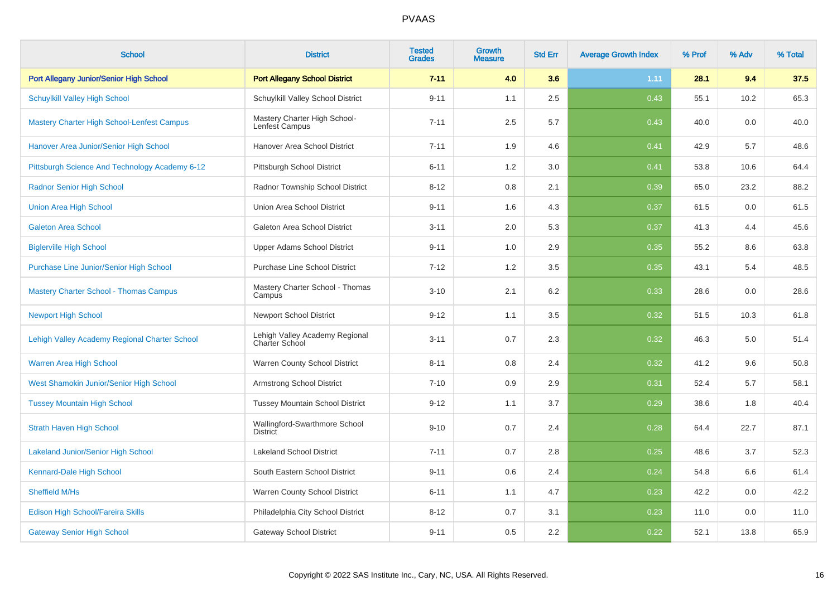| <b>School</b>                                     | <b>District</b>                                         | <b>Tested</b><br><b>Grades</b> | <b>Growth</b><br><b>Measure</b> | <b>Std Err</b> | <b>Average Growth Index</b> | % Prof | % Adv | % Total |
|---------------------------------------------------|---------------------------------------------------------|--------------------------------|---------------------------------|----------------|-----------------------------|--------|-------|---------|
| Port Allegany Junior/Senior High School           | <b>Port Allegany School District</b>                    | $7 - 11$                       | 4.0                             | 3.6            | 1.11                        | 28.1   | 9.4   | 37.5    |
| <b>Schuylkill Valley High School</b>              | Schuylkill Valley School District                       | $9 - 11$                       | 1.1                             | 2.5            | 0.43                        | 55.1   | 10.2  | 65.3    |
| <b>Mastery Charter High School-Lenfest Campus</b> | Mastery Charter High School-<br>Lenfest Campus          | $7 - 11$                       | 2.5                             | 5.7            | 0.43                        | 40.0   | 0.0   | 40.0    |
| Hanover Area Junior/Senior High School            | Hanover Area School District                            | $7 - 11$                       | 1.9                             | 4.6            | 0.41                        | 42.9   | 5.7   | 48.6    |
| Pittsburgh Science And Technology Academy 6-12    | Pittsburgh School District                              | $6 - 11$                       | 1.2                             | 3.0            | 0.41                        | 53.8   | 10.6  | 64.4    |
| <b>Radnor Senior High School</b>                  | Radnor Township School District                         | $8 - 12$                       | 0.8                             | 2.1            | 0.39                        | 65.0   | 23.2  | 88.2    |
| <b>Union Area High School</b>                     | Union Area School District                              | $9 - 11$                       | 1.6                             | 4.3            | 0.37                        | 61.5   | 0.0   | 61.5    |
| <b>Galeton Area School</b>                        | Galeton Area School District                            | $3 - 11$                       | 2.0                             | 5.3            | 0.37                        | 41.3   | 4.4   | 45.6    |
| <b>Biglerville High School</b>                    | <b>Upper Adams School District</b>                      | $9 - 11$                       | 1.0                             | 2.9            | 0.35                        | 55.2   | 8.6   | 63.8    |
| Purchase Line Junior/Senior High School           | <b>Purchase Line School District</b>                    | $7 - 12$                       | 1.2                             | 3.5            | 0.35                        | 43.1   | 5.4   | 48.5    |
| <b>Mastery Charter School - Thomas Campus</b>     | Mastery Charter School - Thomas<br>Campus               | $3 - 10$                       | 2.1                             | 6.2            | 0.33                        | 28.6   | 0.0   | 28.6    |
| <b>Newport High School</b>                        | <b>Newport School District</b>                          | $9 - 12$                       | 1.1                             | 3.5            | 0.32                        | 51.5   | 10.3  | 61.8    |
| Lehigh Valley Academy Regional Charter School     | Lehigh Valley Academy Regional<br><b>Charter School</b> | $3 - 11$                       | 0.7                             | 2.3            | 0.32                        | 46.3   | 5.0   | 51.4    |
| Warren Area High School                           | Warren County School District                           | $8 - 11$                       | 0.8                             | 2.4            | 0.32                        | 41.2   | 9.6   | 50.8    |
| West Shamokin Junior/Senior High School           | <b>Armstrong School District</b>                        | $7 - 10$                       | 0.9                             | 2.9            | 0.31                        | 52.4   | 5.7   | 58.1    |
| <b>Tussey Mountain High School</b>                | <b>Tussey Mountain School District</b>                  | $9 - 12$                       | 1.1                             | 3.7            | 0.29                        | 38.6   | 1.8   | 40.4    |
| <b>Strath Haven High School</b>                   | Wallingford-Swarthmore School<br><b>District</b>        | $9 - 10$                       | 0.7                             | 2.4            | 0.28                        | 64.4   | 22.7  | 87.1    |
| <b>Lakeland Junior/Senior High School</b>         | <b>Lakeland School District</b>                         | $7 - 11$                       | 0.7                             | 2.8            | 0.25                        | 48.6   | 3.7   | 52.3    |
| Kennard-Dale High School                          | South Eastern School District                           | $9 - 11$                       | 0.6                             | 2.4            | 0.24                        | 54.8   | 6.6   | 61.4    |
| Sheffield M/Hs                                    | Warren County School District                           | $6 - 11$                       | 1.1                             | 4.7            | 0.23                        | 42.2   | 0.0   | 42.2    |
| Edison High School/Fareira Skills                 | Philadelphia City School District                       | $8 - 12$                       | 0.7                             | 3.1            | 0.23                        | 11.0   | 0.0   | 11.0    |
| <b>Gateway Senior High School</b>                 | <b>Gateway School District</b>                          | $9 - 11$                       | 0.5                             | 2.2            | 0.22                        | 52.1   | 13.8  | 65.9    |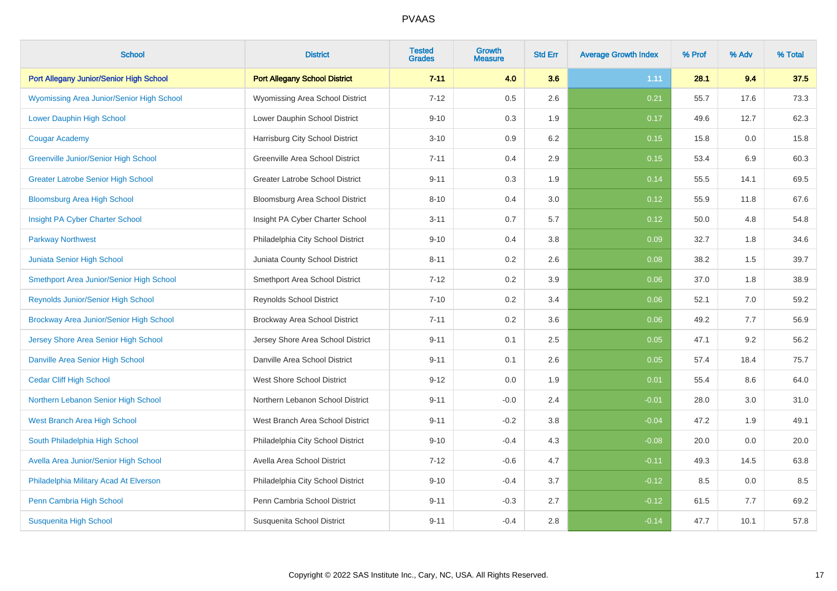| <b>School</b>                             | <b>District</b>                        | <b>Tested</b><br><b>Grades</b> | <b>Growth</b><br><b>Measure</b> | <b>Std Err</b> | <b>Average Growth Index</b> | % Prof | % Adv | % Total |
|-------------------------------------------|----------------------------------------|--------------------------------|---------------------------------|----------------|-----------------------------|--------|-------|---------|
| Port Allegany Junior/Senior High School   | <b>Port Allegany School District</b>   | $7 - 11$                       | 4.0                             | 3.6            | 1.11                        | 28.1   | 9.4   | 37.5    |
| Wyomissing Area Junior/Senior High School | Wyomissing Area School District        | $7 - 12$                       | 0.5                             | 2.6            | 0.21                        | 55.7   | 17.6  | 73.3    |
| <b>Lower Dauphin High School</b>          | Lower Dauphin School District          | $9 - 10$                       | 0.3                             | 1.9            | 0.17                        | 49.6   | 12.7  | 62.3    |
| <b>Cougar Academy</b>                     | Harrisburg City School District        | $3 - 10$                       | 0.9                             | 6.2            | 0.15                        | 15.8   | 0.0   | 15.8    |
| Greenville Junior/Senior High School      | Greenville Area School District        | $7 - 11$                       | 0.4                             | 2.9            | 0.15                        | 53.4   | 6.9   | 60.3    |
| <b>Greater Latrobe Senior High School</b> | <b>Greater Latrobe School District</b> | $9 - 11$                       | 0.3                             | 1.9            | 0.14                        | 55.5   | 14.1  | 69.5    |
| <b>Bloomsburg Area High School</b>        | Bloomsburg Area School District        | $8 - 10$                       | 0.4                             | 3.0            | 0.12                        | 55.9   | 11.8  | 67.6    |
| Insight PA Cyber Charter School           | Insight PA Cyber Charter School        | $3 - 11$                       | 0.7                             | 5.7            | 0.12                        | 50.0   | 4.8   | 54.8    |
| <b>Parkway Northwest</b>                  | Philadelphia City School District      | $9 - 10$                       | 0.4                             | 3.8            | 0.09                        | 32.7   | 1.8   | 34.6    |
| Juniata Senior High School                | Juniata County School District         | $8 - 11$                       | 0.2                             | 2.6            | 0.08                        | 38.2   | 1.5   | 39.7    |
| Smethport Area Junior/Senior High School  | Smethport Area School District         | $7 - 12$                       | 0.2                             | 3.9            | 0.06                        | 37.0   | 1.8   | 38.9    |
| <b>Reynolds Junior/Senior High School</b> | <b>Reynolds School District</b>        | $7 - 10$                       | 0.2                             | 3.4            | 0.06                        | 52.1   | 7.0   | 59.2    |
| Brockway Area Junior/Senior High School   | Brockway Area School District          | $7 - 11$                       | 0.2                             | 3.6            | 0.06                        | 49.2   | 7.7   | 56.9    |
| Jersey Shore Area Senior High School      | Jersey Shore Area School District      | $9 - 11$                       | 0.1                             | 2.5            | 0.05                        | 47.1   | 9.2   | 56.2    |
| Danville Area Senior High School          | Danville Area School District          | $9 - 11$                       | 0.1                             | 2.6            | 0.05                        | 57.4   | 18.4  | 75.7    |
| <b>Cedar Cliff High School</b>            | <b>West Shore School District</b>      | $9 - 12$                       | 0.0                             | 1.9            | 0.01                        | 55.4   | 8.6   | 64.0    |
| Northern Lebanon Senior High School       | Northern Lebanon School District       | $9 - 11$                       | $-0.0$                          | 2.4            | $-0.01$                     | 28.0   | 3.0   | 31.0    |
| West Branch Area High School              | West Branch Area School District       | $9 - 11$                       | $-0.2$                          | 3.8            | $-0.04$                     | 47.2   | 1.9   | 49.1    |
| South Philadelphia High School            | Philadelphia City School District      | $9 - 10$                       | $-0.4$                          | 4.3            | $-0.08$                     | 20.0   | 0.0   | 20.0    |
| Avella Area Junior/Senior High School     | Avella Area School District            | $7 - 12$                       | $-0.6$                          | 4.7            | $-0.11$                     | 49.3   | 14.5  | 63.8    |
| Philadelphia Military Acad At Elverson    | Philadelphia City School District      | $9 - 10$                       | $-0.4$                          | 3.7            | $-0.12$                     | 8.5    | 0.0   | 8.5     |
| Penn Cambria High School                  | Penn Cambria School District           | $9 - 11$                       | $-0.3$                          | 2.7            | $-0.12$                     | 61.5   | 7.7   | 69.2    |
| <b>Susquenita High School</b>             | Susquenita School District             | $9 - 11$                       | $-0.4$                          | 2.8            | $-0.14$                     | 47.7   | 10.1  | 57.8    |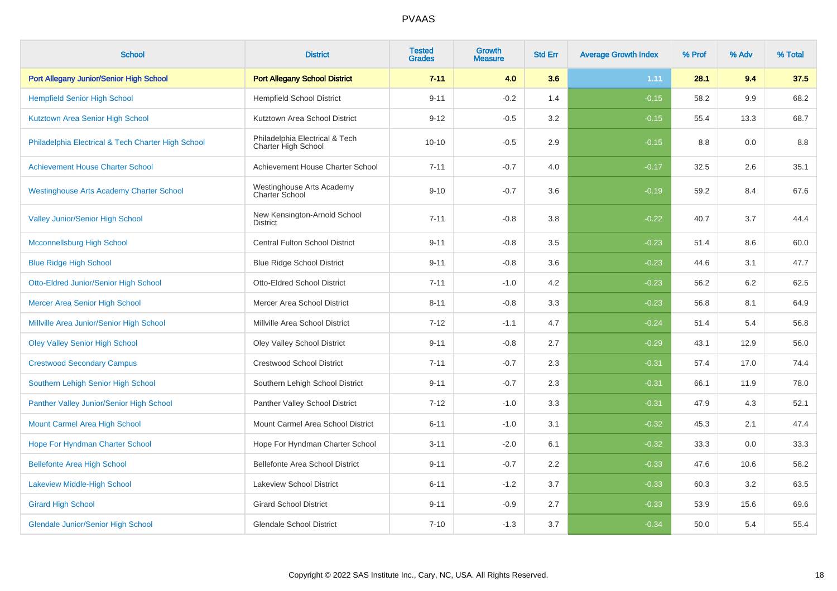| <b>School</b>                                      | <b>District</b>                                       | <b>Tested</b><br><b>Grades</b> | Growth<br><b>Measure</b> | <b>Std Err</b> | <b>Average Growth Index</b> | % Prof | % Adv | % Total |
|----------------------------------------------------|-------------------------------------------------------|--------------------------------|--------------------------|----------------|-----------------------------|--------|-------|---------|
| Port Allegany Junior/Senior High School            | <b>Port Allegany School District</b>                  | $7 - 11$                       | 4.0                      | 3.6            | 1.11                        | 28.1   | 9.4   | 37.5    |
| <b>Hempfield Senior High School</b>                | <b>Hempfield School District</b>                      | $9 - 11$                       | $-0.2$                   | 1.4            | $-0.15$                     | 58.2   | 9.9   | 68.2    |
| Kutztown Area Senior High School                   | Kutztown Area School District                         | $9 - 12$                       | $-0.5$                   | 3.2            | $-0.15$                     | 55.4   | 13.3  | 68.7    |
| Philadelphia Electrical & Tech Charter High School | Philadelphia Electrical & Tech<br>Charter High School | $10 - 10$                      | $-0.5$                   | 2.9            | $-0.15$                     | 8.8    | 0.0   | 8.8     |
| <b>Achievement House Charter School</b>            | Achievement House Charter School                      | $7 - 11$                       | $-0.7$                   | 4.0            | $-0.17$                     | 32.5   | 2.6   | 35.1    |
| <b>Westinghouse Arts Academy Charter School</b>    | Westinghouse Arts Academy<br>Charter School           | $9 - 10$                       | $-0.7$                   | 3.6            | $-0.19$                     | 59.2   | 8.4   | 67.6    |
| Valley Junior/Senior High School                   | New Kensington-Arnold School<br><b>District</b>       | $7 - 11$                       | $-0.8$                   | 3.8            | $-0.22$                     | 40.7   | 3.7   | 44.4    |
| <b>Mcconnellsburg High School</b>                  | Central Fulton School District                        | $9 - 11$                       | $-0.8$                   | 3.5            | $-0.23$                     | 51.4   | 8.6   | 60.0    |
| <b>Blue Ridge High School</b>                      | <b>Blue Ridge School District</b>                     | $9 - 11$                       | $-0.8$                   | 3.6            | $-0.23$                     | 44.6   | 3.1   | 47.7    |
| Otto-Eldred Junior/Senior High School              | <b>Otto-Eldred School District</b>                    | $7 - 11$                       | $-1.0$                   | 4.2            | $-0.23$                     | 56.2   | 6.2   | 62.5    |
| <b>Mercer Area Senior High School</b>              | Mercer Area School District                           | $8 - 11$                       | $-0.8$                   | 3.3            | $-0.23$                     | 56.8   | 8.1   | 64.9    |
| Millville Area Junior/Senior High School           | Millville Area School District                        | $7 - 12$                       | $-1.1$                   | 4.7            | $-0.24$                     | 51.4   | 5.4   | 56.8    |
| <b>Oley Valley Senior High School</b>              | Oley Valley School District                           | $9 - 11$                       | $-0.8$                   | 2.7            | $-0.29$                     | 43.1   | 12.9  | 56.0    |
| <b>Crestwood Secondary Campus</b>                  | <b>Crestwood School District</b>                      | $7 - 11$                       | $-0.7$                   | 2.3            | $-0.31$                     | 57.4   | 17.0  | 74.4    |
| Southern Lehigh Senior High School                 | Southern Lehigh School District                       | $9 - 11$                       | $-0.7$                   | 2.3            | $-0.31$                     | 66.1   | 11.9  | 78.0    |
| Panther Valley Junior/Senior High School           | Panther Valley School District                        | $7 - 12$                       | $-1.0$                   | 3.3            | $-0.31$                     | 47.9   | 4.3   | 52.1    |
| Mount Carmel Area High School                      | Mount Carmel Area School District                     | $6 - 11$                       | $-1.0$                   | 3.1            | $-0.32$                     | 45.3   | 2.1   | 47.4    |
| Hope For Hyndman Charter School                    | Hope For Hyndman Charter School                       | $3 - 11$                       | $-2.0$                   | 6.1            | $-0.32$                     | 33.3   | 0.0   | 33.3    |
| <b>Bellefonte Area High School</b>                 | Bellefonte Area School District                       | $9 - 11$                       | $-0.7$                   | 2.2            | $-0.33$                     | 47.6   | 10.6  | 58.2    |
| Lakeview Middle-High School                        | Lakeview School District                              | $6 - 11$                       | $-1.2$                   | 3.7            | $-0.33$                     | 60.3   | 3.2   | 63.5    |
| <b>Girard High School</b>                          | <b>Girard School District</b>                         | $9 - 11$                       | $-0.9$                   | 2.7            | $-0.33$                     | 53.9   | 15.6  | 69.6    |
| <b>Glendale Junior/Senior High School</b>          | <b>Glendale School District</b>                       | $7 - 10$                       | $-1.3$                   | 3.7            | $-0.34$                     | 50.0   | 5.4   | 55.4    |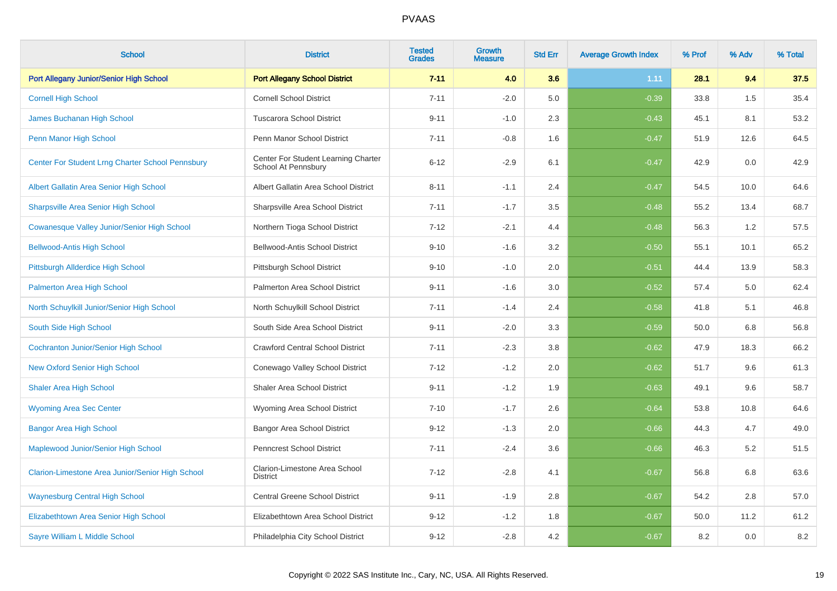| <b>School</b>                                      | <b>District</b>                                            | <b>Tested</b><br><b>Grades</b> | <b>Growth</b><br><b>Measure</b> | <b>Std Err</b> | <b>Average Growth Index</b> | % Prof | % Adv | % Total |
|----------------------------------------------------|------------------------------------------------------------|--------------------------------|---------------------------------|----------------|-----------------------------|--------|-------|---------|
| Port Allegany Junior/Senior High School            | <b>Port Allegany School District</b>                       | $7 - 11$                       | 4.0                             | 3.6            | 1.11                        | 28.1   | 9.4   | 37.5    |
| <b>Cornell High School</b>                         | <b>Cornell School District</b>                             | $7 - 11$                       | $-2.0$                          | 5.0            | $-0.39$                     | 33.8   | 1.5   | 35.4    |
| James Buchanan High School                         | <b>Tuscarora School District</b>                           | $9 - 11$                       | $-1.0$                          | 2.3            | $-0.43$                     | 45.1   | 8.1   | 53.2    |
| Penn Manor High School                             | Penn Manor School District                                 | $7 - 11$                       | $-0.8$                          | 1.6            | $-0.47$                     | 51.9   | 12.6  | 64.5    |
| Center For Student Lrng Charter School Pennsbury   | Center For Student Learning Charter<br>School At Pennsbury | $6 - 12$                       | $-2.9$                          | 6.1            | $-0.47$                     | 42.9   | 0.0   | 42.9    |
| Albert Gallatin Area Senior High School            | Albert Gallatin Area School District                       | $8 - 11$                       | $-1.1$                          | 2.4            | $-0.47$                     | 54.5   | 10.0  | 64.6    |
| <b>Sharpsville Area Senior High School</b>         | Sharpsville Area School District                           | $7 - 11$                       | $-1.7$                          | 3.5            | $-0.48$                     | 55.2   | 13.4  | 68.7    |
| <b>Cowanesque Valley Junior/Senior High School</b> | Northern Tioga School District                             | $7 - 12$                       | $-2.1$                          | 4.4            | $-0.48$                     | 56.3   | 1.2   | 57.5    |
| <b>Bellwood-Antis High School</b>                  | <b>Bellwood-Antis School District</b>                      | $9 - 10$                       | $-1.6$                          | 3.2            | $-0.50$                     | 55.1   | 10.1  | 65.2    |
| Pittsburgh Allderdice High School                  | Pittsburgh School District                                 | $9 - 10$                       | $-1.0$                          | 2.0            | $-0.51$                     | 44.4   | 13.9  | 58.3    |
| <b>Palmerton Area High School</b>                  | Palmerton Area School District                             | $9 - 11$                       | $-1.6$                          | 3.0            | $-0.52$                     | 57.4   | 5.0   | 62.4    |
| North Schuylkill Junior/Senior High School         | North Schuylkill School District                           | $7 - 11$                       | $-1.4$                          | 2.4            | $-0.58$                     | 41.8   | 5.1   | 46.8    |
| South Side High School                             | South Side Area School District                            | $9 - 11$                       | $-2.0$                          | 3.3            | $-0.59$                     | 50.0   | 6.8   | 56.8    |
| <b>Cochranton Junior/Senior High School</b>        | <b>Crawford Central School District</b>                    | $7 - 11$                       | $-2.3$                          | 3.8            | $-0.62$                     | 47.9   | 18.3  | 66.2    |
| <b>New Oxford Senior High School</b>               | Conewago Valley School District                            | $7 - 12$                       | $-1.2$                          | 2.0            | $-0.62$                     | 51.7   | 9.6   | 61.3    |
| <b>Shaler Area High School</b>                     | <b>Shaler Area School District</b>                         | $9 - 11$                       | $-1.2$                          | 1.9            | $-0.63$                     | 49.1   | 9.6   | 58.7    |
| <b>Wyoming Area Sec Center</b>                     | Wyoming Area School District                               | $7 - 10$                       | $-1.7$                          | 2.6            | $-0.64$                     | 53.8   | 10.8  | 64.6    |
| <b>Bangor Area High School</b>                     | Bangor Area School District                                | $9 - 12$                       | $-1.3$                          | 2.0            | $-0.66$                     | 44.3   | 4.7   | 49.0    |
| Maplewood Junior/Senior High School                | <b>Penncrest School District</b>                           | $7 - 11$                       | $-2.4$                          | 3.6            | $-0.66$                     | 46.3   | 5.2   | 51.5    |
| Clarion-Limestone Area Junior/Senior High School   | Clarion-Limestone Area School<br><b>District</b>           | $7 - 12$                       | $-2.8$                          | 4.1            | $-0.67$                     | 56.8   | 6.8   | 63.6    |
| <b>Waynesburg Central High School</b>              | <b>Central Greene School District</b>                      | $9 - 11$                       | $-1.9$                          | 2.8            | $-0.67$                     | 54.2   | 2.8   | 57.0    |
| Elizabethtown Area Senior High School              | Elizabethtown Area School District                         | $9 - 12$                       | $-1.2$                          | 1.8            | $-0.67$                     | 50.0   | 11.2  | 61.2    |
| Sayre William L Middle School                      | Philadelphia City School District                          | $9 - 12$                       | $-2.8$                          | 4.2            | $-0.67$                     | 8.2    | 0.0   | $8.2\,$ |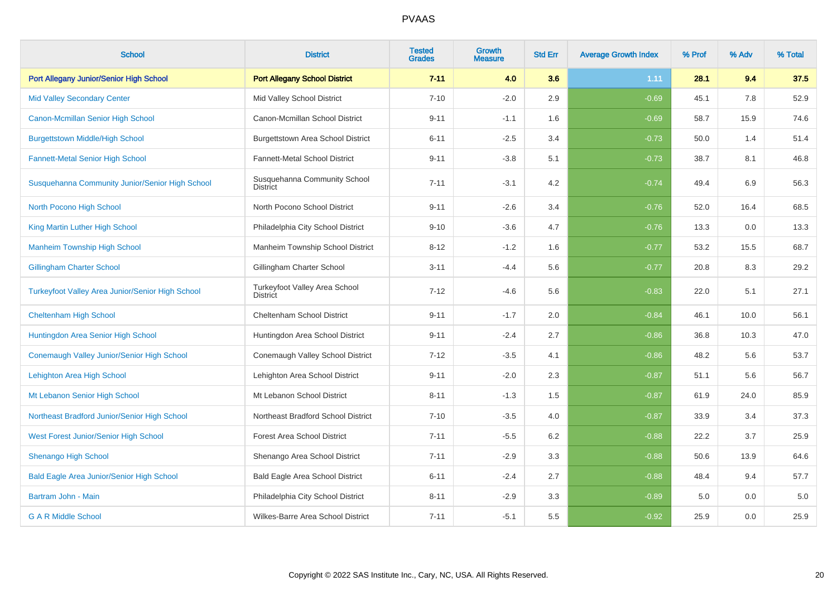| <b>School</b>                                           | <b>District</b>                                         | <b>Tested</b><br><b>Grades</b> | <b>Growth</b><br><b>Measure</b> | <b>Std Err</b> | <b>Average Growth Index</b> | % Prof | % Adv | % Total |
|---------------------------------------------------------|---------------------------------------------------------|--------------------------------|---------------------------------|----------------|-----------------------------|--------|-------|---------|
| Port Allegany Junior/Senior High School                 | <b>Port Allegany School District</b>                    | $7 - 11$                       | 4.0                             | 3.6            | 1.11                        | 28.1   | 9.4   | 37.5    |
| <b>Mid Valley Secondary Center</b>                      | Mid Valley School District                              | $7 - 10$                       | $-2.0$                          | 2.9            | $-0.69$                     | 45.1   | 7.8   | 52.9    |
| Canon-Mcmillan Senior High School                       | Canon-Mcmillan School District                          | $9 - 11$                       | $-1.1$                          | 1.6            | $-0.69$                     | 58.7   | 15.9  | 74.6    |
| <b>Burgettstown Middle/High School</b>                  | <b>Burgettstown Area School District</b>                | $6 - 11$                       | $-2.5$                          | 3.4            | $-0.73$                     | 50.0   | 1.4   | 51.4    |
| <b>Fannett-Metal Senior High School</b>                 | Fannett-Metal School District                           | $9 - 11$                       | $-3.8$                          | 5.1            | $-0.73$                     | 38.7   | 8.1   | 46.8    |
| Susquehanna Community Junior/Senior High School         | Susquehanna Community School<br>District                | $7 - 11$                       | $-3.1$                          | 4.2            | $-0.74$                     | 49.4   | 6.9   | 56.3    |
| North Pocono High School                                | North Pocono School District                            | $9 - 11$                       | $-2.6$                          | 3.4            | $-0.76$                     | 52.0   | 16.4  | 68.5    |
| King Martin Luther High School                          | Philadelphia City School District                       | $9 - 10$                       | $-3.6$                          | 4.7            | $-0.76$                     | 13.3   | 0.0   | 13.3    |
| <b>Manheim Township High School</b>                     | Manheim Township School District                        | $8 - 12$                       | $-1.2$                          | 1.6            | $-0.77$                     | 53.2   | 15.5  | 68.7    |
| <b>Gillingham Charter School</b>                        | Gillingham Charter School                               | $3 - 11$                       | $-4.4$                          | 5.6            | $-0.77$                     | 20.8   | 8.3   | 29.2    |
| <b>Turkeyfoot Valley Area Junior/Senior High School</b> | <b>Turkeyfoot Valley Area School</b><br><b>District</b> | $7 - 12$                       | $-4.6$                          | 5.6            | $-0.83$                     | 22.0   | 5.1   | 27.1    |
| <b>Cheltenham High School</b>                           | <b>Cheltenham School District</b>                       | $9 - 11$                       | $-1.7$                          | 2.0            | $-0.84$                     | 46.1   | 10.0  | 56.1    |
| Huntingdon Area Senior High School                      | Huntingdon Area School District                         | $9 - 11$                       | $-2.4$                          | 2.7            | $-0.86$                     | 36.8   | 10.3  | 47.0    |
| Conemaugh Valley Junior/Senior High School              | Conemaugh Valley School District                        | $7 - 12$                       | $-3.5$                          | 4.1            | $-0.86$                     | 48.2   | 5.6   | 53.7    |
| Lehighton Area High School                              | Lehighton Area School District                          | $9 - 11$                       | $-2.0$                          | 2.3            | $-0.87$                     | 51.1   | 5.6   | 56.7    |
| Mt Lebanon Senior High School                           | Mt Lebanon School District                              | $8 - 11$                       | $-1.3$                          | 1.5            | $-0.87$                     | 61.9   | 24.0  | 85.9    |
| Northeast Bradford Junior/Senior High School            | Northeast Bradford School District                      | $7 - 10$                       | $-3.5$                          | 4.0            | $-0.87$                     | 33.9   | 3.4   | 37.3    |
| West Forest Junior/Senior High School                   | <b>Forest Area School District</b>                      | $7 - 11$                       | $-5.5$                          | 6.2            | $-0.88$                     | 22.2   | 3.7   | 25.9    |
| <b>Shenango High School</b>                             | Shenango Area School District                           | $7 - 11$                       | $-2.9$                          | 3.3            | $-0.88$                     | 50.6   | 13.9  | 64.6    |
| <b>Bald Eagle Area Junior/Senior High School</b>        | <b>Bald Eagle Area School District</b>                  | $6 - 11$                       | $-2.4$                          | 2.7            | $-0.88$                     | 48.4   | 9.4   | 57.7    |
| Bartram John - Main                                     | Philadelphia City School District                       | $8 - 11$                       | $-2.9$                          | 3.3            | $-0.89$                     | 5.0    | 0.0   | 5.0     |
| <b>G A R Middle School</b>                              | Wilkes-Barre Area School District                       | $7 - 11$                       | $-5.1$                          | 5.5            | $-0.92$                     | 25.9   | 0.0   | 25.9    |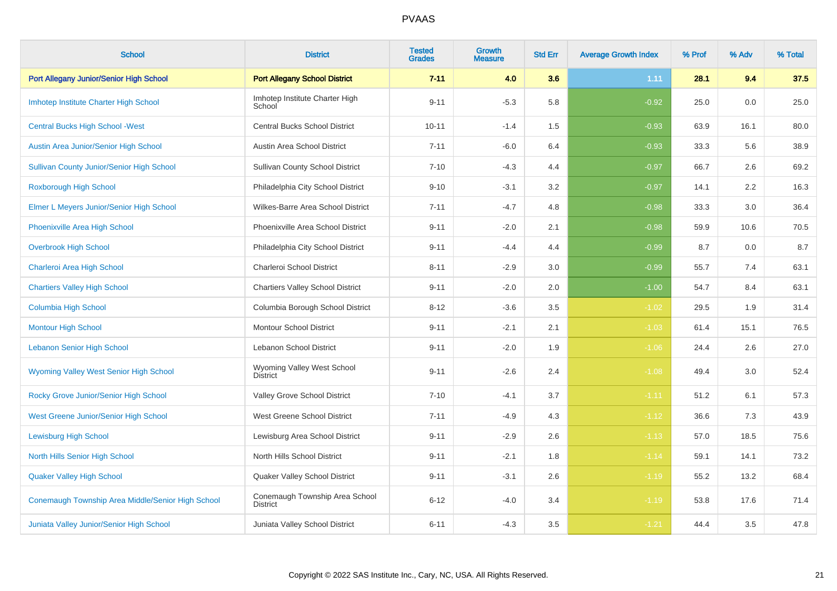| <b>School</b>                                     | <b>District</b>                                   | <b>Tested</b><br><b>Grades</b> | Growth<br><b>Measure</b> | <b>Std Err</b> | <b>Average Growth Index</b> | % Prof | % Adv | % Total |
|---------------------------------------------------|---------------------------------------------------|--------------------------------|--------------------------|----------------|-----------------------------|--------|-------|---------|
| Port Allegany Junior/Senior High School           | <b>Port Allegany School District</b>              | $7 - 11$                       | 4.0                      | 3.6            | 1.11                        | 28.1   | 9.4   | 37.5    |
| Imhotep Institute Charter High School             | Imhotep Institute Charter High<br>School          | $9 - 11$                       | $-5.3$                   | 5.8            | $-0.92$                     | 25.0   | 0.0   | 25.0    |
| <b>Central Bucks High School - West</b>           | <b>Central Bucks School District</b>              | $10 - 11$                      | $-1.4$                   | 1.5            | $-0.93$                     | 63.9   | 16.1  | 80.0    |
| Austin Area Junior/Senior High School             | Austin Area School District                       | $7 - 11$                       | $-6.0$                   | 6.4            | $-0.93$                     | 33.3   | 5.6   | 38.9    |
| <b>Sullivan County Junior/Senior High School</b>  | <b>Sullivan County School District</b>            | $7 - 10$                       | $-4.3$                   | 4.4            | $-0.97$                     | 66.7   | 2.6   | 69.2    |
| <b>Roxborough High School</b>                     | Philadelphia City School District                 | $9 - 10$                       | $-3.1$                   | 3.2            | $-0.97$                     | 14.1   | 2.2   | 16.3    |
| Elmer L Meyers Junior/Senior High School          | Wilkes-Barre Area School District                 | $7 - 11$                       | $-4.7$                   | 4.8            | $-0.98$                     | 33.3   | 3.0   | 36.4    |
| Phoenixville Area High School                     | Phoenixville Area School District                 | $9 - 11$                       | $-2.0$                   | 2.1            | $-0.98$                     | 59.9   | 10.6  | 70.5    |
| <b>Overbrook High School</b>                      | Philadelphia City School District                 | $9 - 11$                       | $-4.4$                   | 4.4            | $-0.99$                     | 8.7    | 0.0   | 8.7     |
| Charleroi Area High School                        | Charleroi School District                         | $8 - 11$                       | $-2.9$                   | 3.0            | $-0.99$                     | 55.7   | 7.4   | 63.1    |
| <b>Chartiers Valley High School</b>               | <b>Chartiers Valley School District</b>           | $9 - 11$                       | $-2.0$                   | 2.0            | $-1.00$                     | 54.7   | 8.4   | 63.1    |
| Columbia High School                              | Columbia Borough School District                  | $8 - 12$                       | $-3.6$                   | 3.5            | $-1.02$                     | 29.5   | 1.9   | 31.4    |
| <b>Montour High School</b>                        | <b>Montour School District</b>                    | $9 - 11$                       | $-2.1$                   | 2.1            | $-1.03$                     | 61.4   | 15.1  | 76.5    |
| <b>Lebanon Senior High School</b>                 | Lebanon School District                           | $9 - 11$                       | $-2.0$                   | 1.9            | $-1.06$                     | 24.4   | 2.6   | 27.0    |
| <b>Wyoming Valley West Senior High School</b>     | Wyoming Valley West School<br><b>District</b>     | $9 - 11$                       | $-2.6$                   | 2.4            | $-1.08$                     | 49.4   | 3.0   | 52.4    |
| Rocky Grove Junior/Senior High School             | Valley Grove School District                      | $7 - 10$                       | $-4.1$                   | 3.7            | $-1.11$                     | 51.2   | 6.1   | 57.3    |
| West Greene Junior/Senior High School             | West Greene School District                       | $7 - 11$                       | $-4.9$                   | 4.3            | $-1.12$                     | 36.6   | 7.3   | 43.9    |
| <b>Lewisburg High School</b>                      | Lewisburg Area School District                    | $9 - 11$                       | $-2.9$                   | 2.6            | $-1.13$                     | 57.0   | 18.5  | 75.6    |
| North Hills Senior High School                    | North Hills School District                       | $9 - 11$                       | $-2.1$                   | 1.8            | $-1.14$                     | 59.1   | 14.1  | 73.2    |
| <b>Quaker Valley High School</b>                  | Quaker Valley School District                     | $9 - 11$                       | $-3.1$                   | 2.6            | $-1.19$                     | 55.2   | 13.2  | 68.4    |
| Conemaugh Township Area Middle/Senior High School | Conemaugh Township Area School<br><b>District</b> | $6 - 12$                       | $-4.0$                   | 3.4            | $-1.19$                     | 53.8   | 17.6  | 71.4    |
| Juniata Valley Junior/Senior High School          | Juniata Valley School District                    | $6 - 11$                       | $-4.3$                   | 3.5            | $-1.21$                     | 44.4   | 3.5   | 47.8    |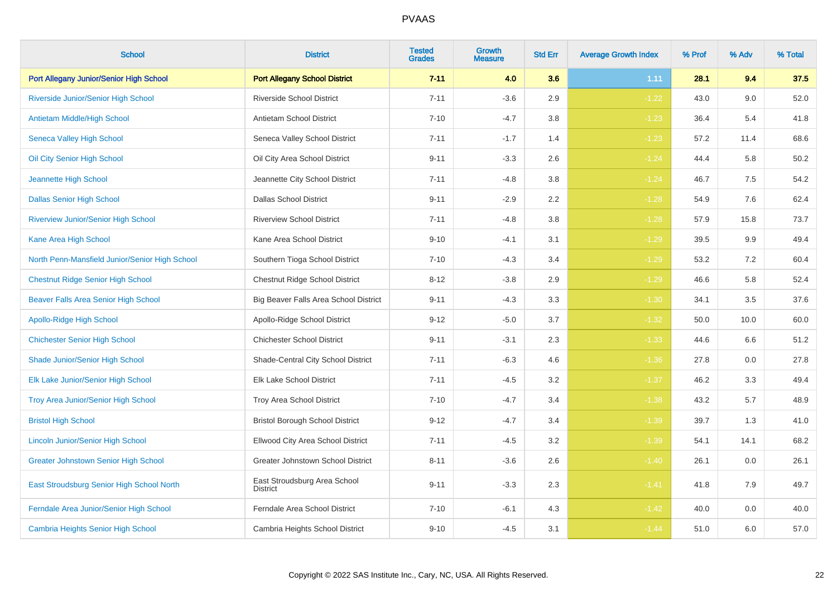| <b>School</b>                                  | <b>District</b>                                 | <b>Tested</b><br><b>Grades</b> | <b>Growth</b><br><b>Measure</b> | <b>Std Err</b> | <b>Average Growth Index</b> | % Prof | % Adv | % Total |
|------------------------------------------------|-------------------------------------------------|--------------------------------|---------------------------------|----------------|-----------------------------|--------|-------|---------|
| Port Allegany Junior/Senior High School        | <b>Port Allegany School District</b>            | $7 - 11$                       | 4.0                             | 3.6            | 1.11                        | 28.1   | 9.4   | 37.5    |
| Riverside Junior/Senior High School            | <b>Riverside School District</b>                | $7 - 11$                       | $-3.6$                          | 2.9            | $-1.22$                     | 43.0   | 9.0   | 52.0    |
| Antietam Middle/High School                    | <b>Antietam School District</b>                 | $7 - 10$                       | $-4.7$                          | 3.8            | $-1.23$                     | 36.4   | 5.4   | 41.8    |
| Seneca Valley High School                      | Seneca Valley School District                   | $7 - 11$                       | $-1.7$                          | 1.4            | $-1.23$                     | 57.2   | 11.4  | 68.6    |
| Oil City Senior High School                    | Oil City Area School District                   | $9 - 11$                       | $-3.3$                          | 2.6            | $-1.24$                     | 44.4   | 5.8   | 50.2    |
| Jeannette High School                          | Jeannette City School District                  | $7 - 11$                       | $-4.8$                          | 3.8            | $-1.24$                     | 46.7   | 7.5   | 54.2    |
| <b>Dallas Senior High School</b>               | <b>Dallas School District</b>                   | $9 - 11$                       | $-2.9$                          | 2.2            | $-1.28$                     | 54.9   | 7.6   | 62.4    |
| <b>Riverview Junior/Senior High School</b>     | <b>Riverview School District</b>                | $7 - 11$                       | $-4.8$                          | 3.8            | $-1.28$                     | 57.9   | 15.8  | 73.7    |
| Kane Area High School                          | Kane Area School District                       | $9 - 10$                       | $-4.1$                          | 3.1            | $-1.29$                     | 39.5   | 9.9   | 49.4    |
| North Penn-Mansfield Junior/Senior High School | Southern Tioga School District                  | $7 - 10$                       | $-4.3$                          | 3.4            | $-1.29$                     | 53.2   | 7.2   | 60.4    |
| <b>Chestnut Ridge Senior High School</b>       | Chestnut Ridge School District                  | $8 - 12$                       | $-3.8$                          | 2.9            | $-1.29$                     | 46.6   | 5.8   | 52.4    |
| Beaver Falls Area Senior High School           | Big Beaver Falls Area School District           | $9 - 11$                       | $-4.3$                          | 3.3            | $-1.30$                     | 34.1   | 3.5   | 37.6    |
| Apollo-Ridge High School                       | Apollo-Ridge School District                    | $9 - 12$                       | $-5.0$                          | 3.7            | $-1.32$                     | 50.0   | 10.0  | 60.0    |
| <b>Chichester Senior High School</b>           | <b>Chichester School District</b>               | $9 - 11$                       | $-3.1$                          | 2.3            | $-1.33$                     | 44.6   | 6.6   | 51.2    |
| Shade Junior/Senior High School                | Shade-Central City School District              | $7 - 11$                       | $-6.3$                          | 4.6            | $-1.36$                     | 27.8   | 0.0   | 27.8    |
| Elk Lake Junior/Senior High School             | <b>Elk Lake School District</b>                 | $7 - 11$                       | $-4.5$                          | 3.2            | $-1.37$                     | 46.2   | 3.3   | 49.4    |
| Troy Area Junior/Senior High School            | Troy Area School District                       | $7 - 10$                       | $-4.7$                          | 3.4            | $-1.38$                     | 43.2   | 5.7   | 48.9    |
| <b>Bristol High School</b>                     | <b>Bristol Borough School District</b>          | $9 - 12$                       | $-4.7$                          | 3.4            | $-1.39$                     | 39.7   | 1.3   | 41.0    |
| <b>Lincoln Junior/Senior High School</b>       | Ellwood City Area School District               | $7 - 11$                       | $-4.5$                          | 3.2            | $-1.39$                     | 54.1   | 14.1  | 68.2    |
| <b>Greater Johnstown Senior High School</b>    | Greater Johnstown School District               | $8 - 11$                       | $-3.6$                          | 2.6            | $-1.40$                     | 26.1   | 0.0   | 26.1    |
| East Stroudsburg Senior High School North      | East Stroudsburg Area School<br><b>District</b> | $9 - 11$                       | $-3.3$                          | 2.3            | $-1.41$                     | 41.8   | 7.9   | 49.7    |
| Ferndale Area Junior/Senior High School        | Ferndale Area School District                   | $7 - 10$                       | $-6.1$                          | 4.3            | $-1.42$                     | 40.0   | 0.0   | 40.0    |
| Cambria Heights Senior High School             | Cambria Heights School District                 | $9 - 10$                       | $-4.5$                          | 3.1            | $-1.44$                     | 51.0   | 6.0   | 57.0    |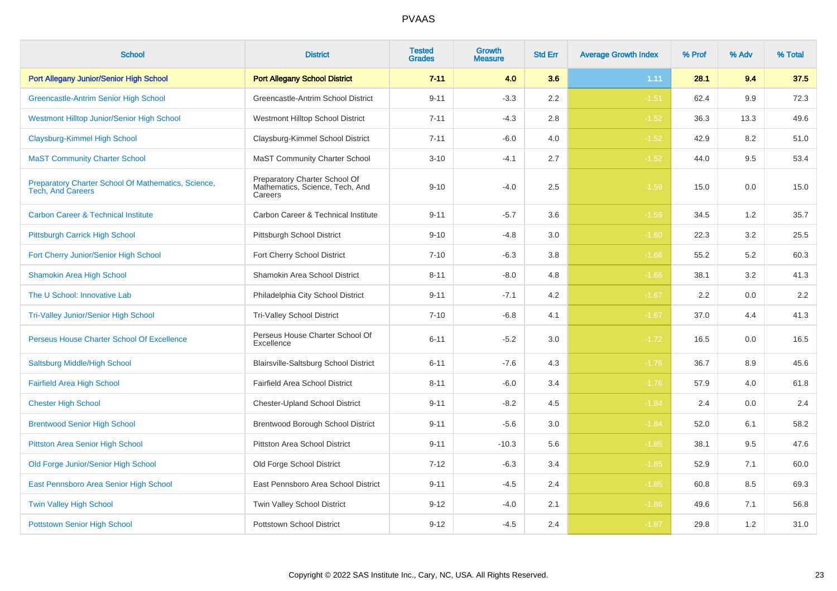| <b>School</b>                                                                   | <b>District</b>                                                             | <b>Tested</b><br><b>Grades</b> | Growth<br>Measure | <b>Std Err</b> | <b>Average Growth Index</b> | % Prof | % Adv | % Total |
|---------------------------------------------------------------------------------|-----------------------------------------------------------------------------|--------------------------------|-------------------|----------------|-----------------------------|--------|-------|---------|
| Port Allegany Junior/Senior High School                                         | <b>Port Allegany School District</b>                                        | $7 - 11$                       | 4.0               | 3.6            | 1.11                        | 28.1   | 9.4   | 37.5    |
| <b>Greencastle-Antrim Senior High School</b>                                    | Greencastle-Antrim School District                                          | $9 - 11$                       | $-3.3$            | 2.2            | $-1.51$                     | 62.4   | 9.9   | 72.3    |
| <b>Westmont Hilltop Junior/Senior High School</b>                               | Westmont Hilltop School District                                            | $7 - 11$                       | $-4.3$            | 2.8            | $-1.52$                     | 36.3   | 13.3  | 49.6    |
| Claysburg-Kimmel High School                                                    | Claysburg-Kimmel School District                                            | $7 - 11$                       | $-6.0$            | 4.0            | $-1.52$                     | 42.9   | 8.2   | 51.0    |
| <b>MaST Community Charter School</b>                                            | <b>MaST Community Charter School</b>                                        | $3 - 10$                       | $-4.1$            | 2.7            | $-1.52$                     | 44.0   | 9.5   | 53.4    |
| Preparatory Charter School Of Mathematics, Science,<br><b>Tech, And Careers</b> | Preparatory Charter School Of<br>Mathematics, Science, Tech, And<br>Careers | $9 - 10$                       | $-4.0$            | 2.5            | $-1.59$                     | 15.0   | 0.0   | 15.0    |
| <b>Carbon Career &amp; Technical Institute</b>                                  | Carbon Career & Technical Institute                                         | $9 - 11$                       | $-5.7$            | 3.6            | $-1.59$                     | 34.5   | 1.2   | 35.7    |
| Pittsburgh Carrick High School                                                  | Pittsburgh School District                                                  | $9 - 10$                       | $-4.8$            | 3.0            | $-1.60$                     | 22.3   | 3.2   | 25.5    |
| Fort Cherry Junior/Senior High School                                           | Fort Cherry School District                                                 | $7 - 10$                       | $-6.3$            | 3.8            | $-1.66$                     | 55.2   | 5.2   | 60.3    |
| <b>Shamokin Area High School</b>                                                | Shamokin Area School District                                               | $8 - 11$                       | $-8.0$            | 4.8            | $-1.66$                     | 38.1   | 3.2   | 41.3    |
| The U School: Innovative Lab                                                    | Philadelphia City School District                                           | $9 - 11$                       | $-7.1$            | 4.2            | $-1.67$                     | 2.2    | 0.0   | $2.2\,$ |
| <b>Tri-Valley Junior/Senior High School</b>                                     | <b>Tri-Valley School District</b>                                           | $7 - 10$                       | $-6.8$            | 4.1            | $-1.67$                     | 37.0   | 4.4   | 41.3    |
| Perseus House Charter School Of Excellence                                      | Perseus House Charter School Of<br>Excellence                               | $6 - 11$                       | $-5.2$            | 3.0            | $-1.72$                     | 16.5   | 0.0   | 16.5    |
| Saltsburg Middle/High School                                                    | <b>Blairsville-Saltsburg School District</b>                                | $6 - 11$                       | $-7.6$            | 4.3            | $-1.76$                     | 36.7   | 8.9   | 45.6    |
| <b>Fairfield Area High School</b>                                               | Fairfield Area School District                                              | $8 - 11$                       | $-6.0$            | 3.4            | $-1.76$                     | 57.9   | 4.0   | 61.8    |
| <b>Chester High School</b>                                                      | <b>Chester-Upland School District</b>                                       | $9 - 11$                       | $-8.2$            | 4.5            | $-1.84$                     | 2.4    | 0.0   | 2.4     |
| <b>Brentwood Senior High School</b>                                             | Brentwood Borough School District                                           | $9 - 11$                       | $-5.6$            | $3.0\,$        | $-1.84$                     | 52.0   | 6.1   | 58.2    |
| <b>Pittston Area Senior High School</b>                                         | Pittston Area School District                                               | $9 - 11$                       | $-10.3$           | 5.6            | $-1.85$                     | 38.1   | 9.5   | 47.6    |
| Old Forge Junior/Senior High School                                             | Old Forge School District                                                   | $7 - 12$                       | $-6.3$            | 3.4            | $-1.85$                     | 52.9   | 7.1   | 60.0    |
| East Pennsboro Area Senior High School                                          | East Pennsboro Area School District                                         | $9 - 11$                       | $-4.5$            | 2.4            | $-1.85$                     | 60.8   | 8.5   | 69.3    |
| <b>Twin Valley High School</b>                                                  | Twin Valley School District                                                 | $9 - 12$                       | $-4.0$            | 2.1            | $-1.86$                     | 49.6   | 7.1   | 56.8    |
| <b>Pottstown Senior High School</b>                                             | Pottstown School District                                                   | $9 - 12$                       | $-4.5$            | 2.4            | $-1.87$                     | 29.8   | 1.2   | 31.0    |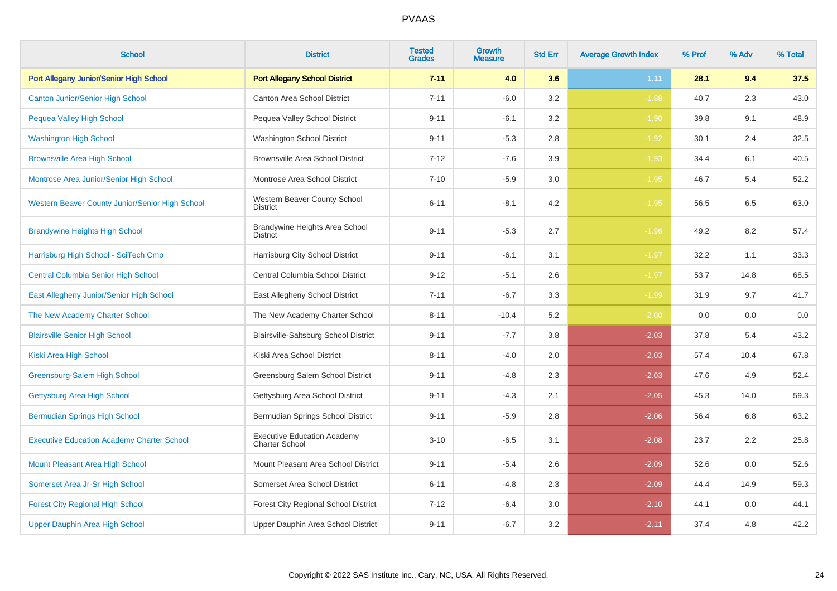| <b>School</b>                                     | <b>District</b>                                             | <b>Tested</b><br><b>Grades</b> | Growth<br><b>Measure</b> | <b>Std Err</b> | <b>Average Growth Index</b> | % Prof | % Adv | % Total |
|---------------------------------------------------|-------------------------------------------------------------|--------------------------------|--------------------------|----------------|-----------------------------|--------|-------|---------|
| Port Allegany Junior/Senior High School           | <b>Port Allegany School District</b>                        | $7 - 11$                       | 4.0                      | 3.6            | 1.11                        | 28.1   | 9.4   | 37.5    |
| <b>Canton Junior/Senior High School</b>           | <b>Canton Area School District</b>                          | $7 - 11$                       | $-6.0$                   | 3.2            | $-1.88$                     | 40.7   | 2.3   | 43.0    |
| Pequea Valley High School                         | Pequea Valley School District                               | $9 - 11$                       | $-6.1$                   | 3.2            | $-1.90$                     | 39.8   | 9.1   | 48.9    |
| <b>Washington High School</b>                     | Washington School District                                  | $9 - 11$                       | $-5.3$                   | 2.8            | $-1.92$                     | 30.1   | 2.4   | 32.5    |
| <b>Brownsville Area High School</b>               | <b>Brownsville Area School District</b>                     | $7 - 12$                       | $-7.6$                   | 3.9            | $-1.93$                     | 34.4   | 6.1   | 40.5    |
| Montrose Area Junior/Senior High School           | Montrose Area School District                               | $7 - 10$                       | $-5.9$                   | 3.0            | $-1.95$                     | 46.7   | 5.4   | 52.2    |
| Western Beaver County Junior/Senior High School   | Western Beaver County School<br><b>District</b>             | $6 - 11$                       | $-8.1$                   | 4.2            | $-1.95$                     | 56.5   | 6.5   | 63.0    |
| <b>Brandywine Heights High School</b>             | Brandywine Heights Area School<br><b>District</b>           | $9 - 11$                       | $-5.3$                   | 2.7            | $-1.96$                     | 49.2   | 8.2   | 57.4    |
| Harrisburg High School - SciTech Cmp              | Harrisburg City School District                             | $9 - 11$                       | $-6.1$                   | 3.1            | $-1.97$                     | 32.2   | 1.1   | 33.3    |
| <b>Central Columbia Senior High School</b>        | Central Columbia School District                            | $9 - 12$                       | $-5.1$                   | 2.6            | $-1.97$                     | 53.7   | 14.8  | 68.5    |
| East Allegheny Junior/Senior High School          | East Allegheny School District                              | $7 - 11$                       | $-6.7$                   | 3.3            | $-1.99$                     | 31.9   | 9.7   | 41.7    |
| The New Academy Charter School                    | The New Academy Charter School                              | $8 - 11$                       | $-10.4$                  | 5.2            | $-2.00$                     | 0.0    | 0.0   | 0.0     |
| <b>Blairsville Senior High School</b>             | Blairsville-Saltsburg School District                       | $9 - 11$                       | $-7.7$                   | 3.8            | $-2.03$                     | 37.8   | 5.4   | 43.2    |
| Kiski Area High School                            | Kiski Area School District                                  | $8 - 11$                       | $-4.0$                   | 2.0            | $-2.03$                     | 57.4   | 10.4  | 67.8    |
| Greensburg-Salem High School                      | Greensburg Salem School District                            | $9 - 11$                       | $-4.8$                   | 2.3            | $-2.03$                     | 47.6   | 4.9   | 52.4    |
| Gettysburg Area High School                       | Gettysburg Area School District                             | $9 - 11$                       | $-4.3$                   | 2.1            | $-2.05$                     | 45.3   | 14.0  | 59.3    |
| <b>Bermudian Springs High School</b>              | Bermudian Springs School District                           | $9 - 11$                       | $-5.9$                   | 2.8            | $-2.06$                     | 56.4   | 6.8   | 63.2    |
| <b>Executive Education Academy Charter School</b> | <b>Executive Education Academy</b><br><b>Charter School</b> | $3 - 10$                       | $-6.5$                   | 3.1            | $-2.08$                     | 23.7   | 2.2   | 25.8    |
| Mount Pleasant Area High School                   | Mount Pleasant Area School District                         | $9 - 11$                       | $-5.4$                   | 2.6            | $-2.09$                     | 52.6   | 0.0   | 52.6    |
| Somerset Area Jr-Sr High School                   | Somerset Area School District                               | $6 - 11$                       | $-4.8$                   | 2.3            | $-2.09$                     | 44.4   | 14.9  | 59.3    |
| <b>Forest City Regional High School</b>           | Forest City Regional School District                        | $7 - 12$                       | $-6.4$                   | 3.0            | $-2.10$                     | 44.1   | 0.0   | 44.1    |
| Upper Dauphin Area High School                    | Upper Dauphin Area School District                          | $9 - 11$                       | $-6.7$                   | 3.2            | $-2.11$                     | 37.4   | 4.8   | 42.2    |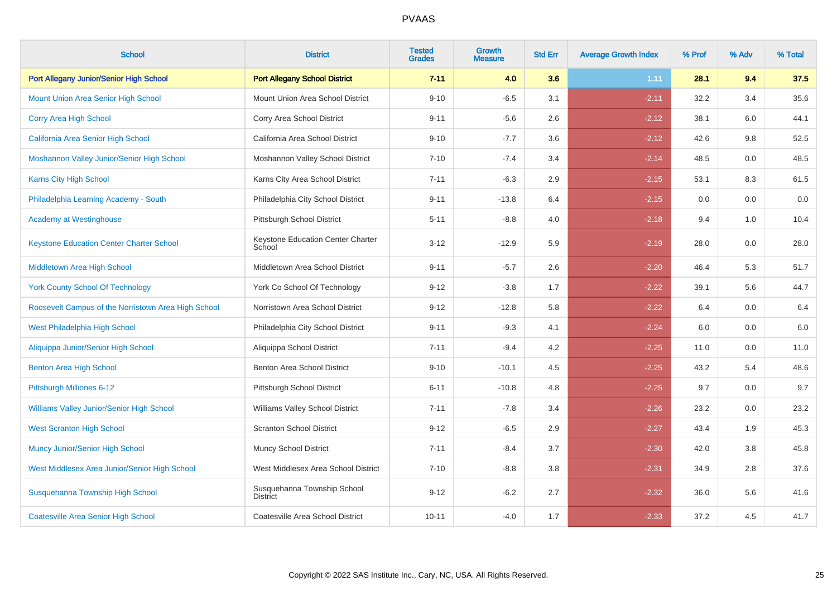| <b>School</b>                                       | <b>District</b>                                | <b>Tested</b><br><b>Grades</b> | <b>Growth</b><br><b>Measure</b> | <b>Std Err</b> | <b>Average Growth Index</b> | % Prof | % Adv | % Total |
|-----------------------------------------------------|------------------------------------------------|--------------------------------|---------------------------------|----------------|-----------------------------|--------|-------|---------|
| Port Allegany Junior/Senior High School             | <b>Port Allegany School District</b>           | $7 - 11$                       | 4.0                             | 3.6            | 1.11                        | 28.1   | 9.4   | 37.5    |
| <b>Mount Union Area Senior High School</b>          | Mount Union Area School District               | $9 - 10$                       | $-6.5$                          | 3.1            | $-2.11$                     | 32.2   | 3.4   | 35.6    |
| Corry Area High School                              | Corry Area School District                     | $9 - 11$                       | $-5.6$                          | 2.6            | $-2.12$                     | 38.1   | 6.0   | 44.1    |
| California Area Senior High School                  | California Area School District                | $9 - 10$                       | $-7.7$                          | 3.6            | $-2.12$                     | 42.6   | 9.8   | 52.5    |
| Moshannon Valley Junior/Senior High School          | Moshannon Valley School District               | $7 - 10$                       | $-7.4$                          | 3.4            | $-2.14$                     | 48.5   | 0.0   | 48.5    |
| Karns City High School                              | Karns City Area School District                | $7 - 11$                       | $-6.3$                          | 2.9            | $-2.15$                     | 53.1   | 8.3   | 61.5    |
| Philadelphia Learning Academy - South               | Philadelphia City School District              | $9 - 11$                       | $-13.8$                         | 6.4            | $-2.15$                     | 0.0    | 0.0   | $0.0\,$ |
| <b>Academy at Westinghouse</b>                      | Pittsburgh School District                     | $5 - 11$                       | $-8.8$                          | 4.0            | $-2.18$                     | 9.4    | 1.0   | 10.4    |
| <b>Keystone Education Center Charter School</b>     | Keystone Education Center Charter<br>School    | $3 - 12$                       | $-12.9$                         | 5.9            | $-2.19$                     | 28.0   | 0.0   | 28.0    |
| Middletown Area High School                         | Middletown Area School District                | $9 - 11$                       | $-5.7$                          | 2.6            | $-2.20$                     | 46.4   | 5.3   | 51.7    |
| <b>York County School Of Technology</b>             | York Co School Of Technology                   | $9 - 12$                       | $-3.8$                          | 1.7            | $-2.22$                     | 39.1   | 5.6   | 44.7    |
| Roosevelt Campus of the Norristown Area High School | Norristown Area School District                | $9 - 12$                       | $-12.8$                         | 5.8            | $-2.22$                     | 6.4    | 0.0   | $6.4\,$ |
| West Philadelphia High School                       | Philadelphia City School District              | $9 - 11$                       | $-9.3$                          | 4.1            | $-2.24$                     | 6.0    | 0.0   | $6.0\,$ |
| Aliquippa Junior/Senior High School                 | Aliquippa School District                      | $7 - 11$                       | $-9.4$                          | 4.2            | $-2.25$                     | 11.0   | 0.0   | 11.0    |
| <b>Benton Area High School</b>                      | Benton Area School District                    | $9 - 10$                       | $-10.1$                         | 4.5            | $-2.25$                     | 43.2   | 5.4   | 48.6    |
| Pittsburgh Milliones 6-12                           | Pittsburgh School District                     | $6 - 11$                       | $-10.8$                         | 4.8            | $-2.25$                     | 9.7    | 0.0   | 9.7     |
| Williams Valley Junior/Senior High School           | Williams Valley School District                | $7 - 11$                       | $-7.8$                          | 3.4            | $-2.26$                     | 23.2   | 0.0   | 23.2    |
| <b>West Scranton High School</b>                    | <b>Scranton School District</b>                | $9 - 12$                       | $-6.5$                          | 2.9            | $-2.27$                     | 43.4   | 1.9   | 45.3    |
| <b>Muncy Junior/Senior High School</b>              | Muncy School District                          | $7 - 11$                       | $-8.4$                          | 3.7            | $-2.30$                     | 42.0   | 3.8   | 45.8    |
| West Middlesex Area Junior/Senior High School       | West Middlesex Area School District            | $7 - 10$                       | $-8.8$                          | 3.8            | $-2.31$                     | 34.9   | 2.8   | 37.6    |
| Susquehanna Township High School                    | Susquehanna Township School<br><b>District</b> | $9 - 12$                       | $-6.2$                          | 2.7            | $-2.32$                     | 36.0   | 5.6   | 41.6    |
| <b>Coatesville Area Senior High School</b>          | Coatesville Area School District               | $10 - 11$                      | $-4.0$                          | 1.7            | $-2.33$                     | 37.2   | 4.5   | 41.7    |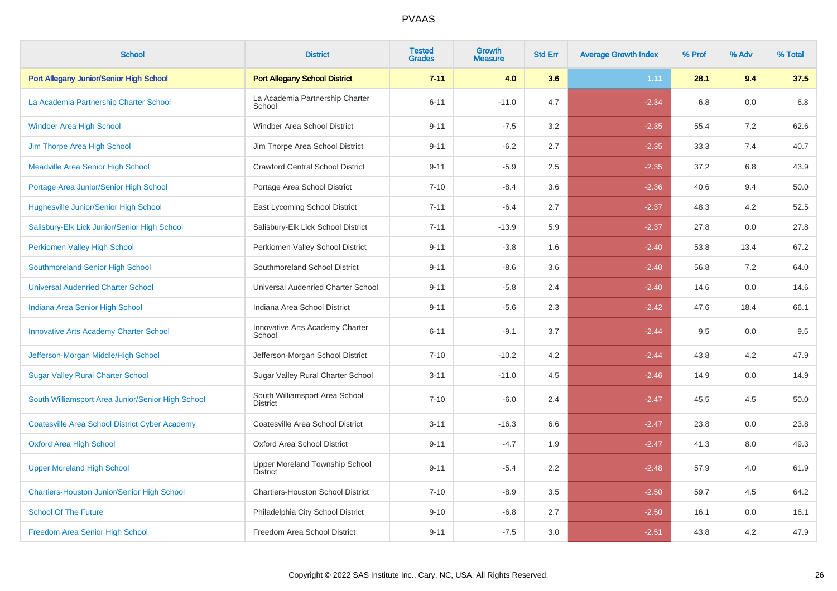| <b>School</b>                                         | <b>District</b>                                   | <b>Tested</b><br><b>Grades</b> | Growth<br><b>Measure</b> | <b>Std Err</b> | <b>Average Growth Index</b> | % Prof | % Adv   | % Total |
|-------------------------------------------------------|---------------------------------------------------|--------------------------------|--------------------------|----------------|-----------------------------|--------|---------|---------|
| Port Allegany Junior/Senior High School               | <b>Port Allegany School District</b>              | $7 - 11$                       | 4.0                      | 3.6            | 1.11                        | 28.1   | 9.4     | 37.5    |
| La Academia Partnership Charter School                | La Academia Partnership Charter<br>School         | $6 - 11$                       | $-11.0$                  | 4.7            | $-2.34$                     | 6.8    | 0.0     | 6.8     |
| <b>Windber Area High School</b>                       | Windber Area School District                      | $9 - 11$                       | $-7.5$                   | 3.2            | $-2.35$                     | 55.4   | 7.2     | 62.6    |
| Jim Thorpe Area High School                           | Jim Thorpe Area School District                   | $9 - 11$                       | $-6.2$                   | 2.7            | $-2.35$                     | 33.3   | 7.4     | 40.7    |
| <b>Meadville Area Senior High School</b>              | <b>Crawford Central School District</b>           | $9 - 11$                       | $-5.9$                   | 2.5            | $-2.35$                     | 37.2   | 6.8     | 43.9    |
| Portage Area Junior/Senior High School                | Portage Area School District                      | $7 - 10$                       | $-8.4$                   | 3.6            | $-2.36$                     | 40.6   | 9.4     | 50.0    |
| Hughesville Junior/Senior High School                 | East Lycoming School District                     | $7 - 11$                       | $-6.4$                   | 2.7            | $-2.37$                     | 48.3   | 4.2     | 52.5    |
| Salisbury-Elk Lick Junior/Senior High School          | Salisbury-Elk Lick School District                | $7 - 11$                       | $-13.9$                  | 5.9            | $-2.37$                     | 27.8   | 0.0     | 27.8    |
| Perkiomen Valley High School                          | Perkiomen Valley School District                  | $9 - 11$                       | $-3.8$                   | 1.6            | $-2.40$                     | 53.8   | 13.4    | 67.2    |
| Southmoreland Senior High School                      | Southmoreland School District                     | $9 - 11$                       | $-8.6$                   | 3.6            | $-2.40$                     | 56.8   | 7.2     | 64.0    |
| <b>Universal Audenried Charter School</b>             | Universal Audenried Charter School                | $9 - 11$                       | $-5.8$                   | 2.4            | $-2.40$                     | 14.6   | 0.0     | 14.6    |
| Indiana Area Senior High School                       | Indiana Area School District                      | $9 - 11$                       | $-5.6$                   | 2.3            | $-2.42$                     | 47.6   | 18.4    | 66.1    |
| Innovative Arts Academy Charter School                | Innovative Arts Academy Charter<br>School         | $6 - 11$                       | $-9.1$                   | 3.7            | $-2.44$                     | 9.5    | 0.0     | 9.5     |
| Jefferson-Morgan Middle/High School                   | Jefferson-Morgan School District                  | $7 - 10$                       | $-10.2$                  | 4.2            | $-2.44$                     | 43.8   | 4.2     | 47.9    |
| <b>Sugar Valley Rural Charter School</b>              | Sugar Valley Rural Charter School                 | $3 - 11$                       | $-11.0$                  | 4.5            | $-2.46$                     | 14.9   | 0.0     | 14.9    |
| South Williamsport Area Junior/Senior High School     | South Williamsport Area School<br>District        | $7 - 10$                       | $-6.0$                   | 2.4            | $-2.47$                     | 45.5   | 4.5     | 50.0    |
| <b>Coatesville Area School District Cyber Academy</b> | Coatesville Area School District                  | $3 - 11$                       | $-16.3$                  | 6.6            | $-2.47$                     | 23.8   | $0.0\,$ | 23.8    |
| <b>Oxford Area High School</b>                        | Oxford Area School District                       | $9 - 11$                       | $-4.7$                   | 1.9            | $-2.47$                     | 41.3   | 8.0     | 49.3    |
| <b>Upper Moreland High School</b>                     | Upper Moreland Township School<br><b>District</b> | $9 - 11$                       | $-5.4$                   | 2.2            | $-2.48$                     | 57.9   | 4.0     | 61.9    |
| <b>Chartiers-Houston Junior/Senior High School</b>    | <b>Chartiers-Houston School District</b>          | $7 - 10$                       | $-8.9$                   | 3.5            | $-2.50$                     | 59.7   | 4.5     | 64.2    |
| <b>School Of The Future</b>                           | Philadelphia City School District                 | $9 - 10$                       | $-6.8$                   | 2.7            | $-2.50$                     | 16.1   | 0.0     | 16.1    |
| Freedom Area Senior High School                       | Freedom Area School District                      | $9 - 11$                       | $-7.5$                   | 3.0            | $-2.51$                     | 43.8   | 4.2     | 47.9    |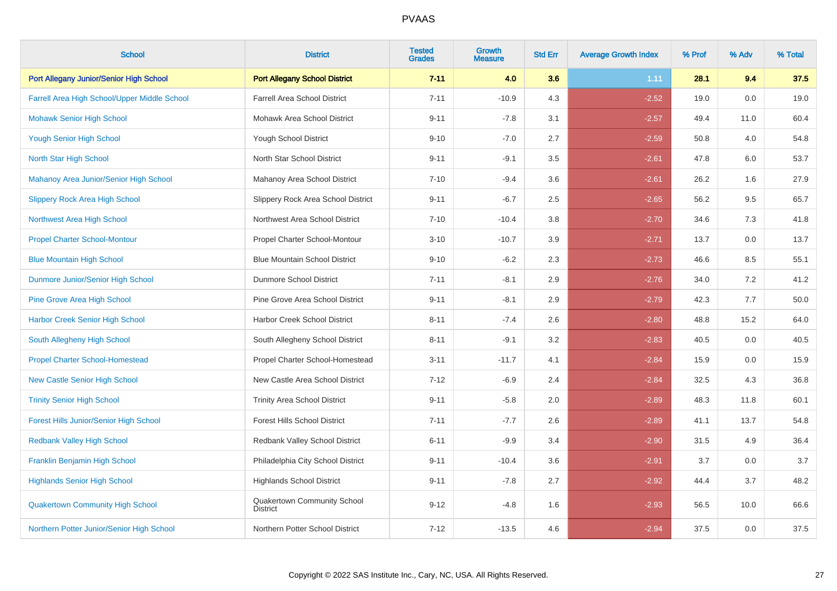| <b>School</b>                                 | <b>District</b>                                | <b>Tested</b><br><b>Grades</b> | <b>Growth</b><br><b>Measure</b> | <b>Std Err</b> | <b>Average Growth Index</b> | % Prof | % Adv | % Total |  |
|-----------------------------------------------|------------------------------------------------|--------------------------------|---------------------------------|----------------|-----------------------------|--------|-------|---------|--|
| Port Allegany Junior/Senior High School       | <b>Port Allegany School District</b>           | $7 - 11$                       | 4.0                             | 3.6            | 1.11                        | 28.1   | 9.4   | 37.5    |  |
| Farrell Area High School/Upper Middle School  | <b>Farrell Area School District</b>            | $7 - 11$                       | $-10.9$                         | 4.3            | $-2.52$                     | 19.0   | 0.0   | 19.0    |  |
| <b>Mohawk Senior High School</b>              | Mohawk Area School District                    | $9 - 11$                       | $-7.8$                          | 3.1            | $-2.57$                     | 49.4   | 11.0  | 60.4    |  |
| <b>Yough Senior High School</b>               | Yough School District                          | $9 - 10$                       | $-7.0$                          | 2.7            | $-2.59$                     | 50.8   | 4.0   | 54.8    |  |
| North Star High School                        | North Star School District                     | $9 - 11$                       | $-9.1$                          | 3.5            | $-2.61$                     | 47.8   | 6.0   | 53.7    |  |
| Mahanoy Area Junior/Senior High School        | Mahanoy Area School District                   | $7 - 10$                       | $-9.4$                          | 3.6            | $-2.61$                     | 26.2   | 1.6   | 27.9    |  |
| <b>Slippery Rock Area High School</b>         | Slippery Rock Area School District             | $9 - 11$                       | $-6.7$                          | 2.5            | $-2.65$                     | 56.2   | 9.5   | 65.7    |  |
| Northwest Area High School                    | Northwest Area School District                 | $7 - 10$                       | $-10.4$                         | 3.8            | $-2.70$                     | 34.6   | 7.3   | 41.8    |  |
| <b>Propel Charter School-Montour</b>          | Propel Charter School-Montour                  | $3 - 10$                       | $-10.7$                         | 3.9            | $-2.71$                     | 13.7   | 0.0   | 13.7    |  |
| <b>Blue Mountain High School</b>              | <b>Blue Mountain School District</b>           | $9 - 10$                       | $-6.2$                          | 2.3            | $-2.73$                     | 46.6   | 8.5   | 55.1    |  |
| Dunmore Junior/Senior High School             | <b>Dunmore School District</b>                 | $7 - 11$                       | $-8.1$                          | 2.9            | $-2.76$                     | 34.0   | 7.2   | 41.2    |  |
| <b>Pine Grove Area High School</b>            | Pine Grove Area School District                | $9 - 11$                       | $-8.1$                          | 2.9            | $-2.79$                     | 42.3   | 7.7   | 50.0    |  |
| <b>Harbor Creek Senior High School</b>        | Harbor Creek School District                   | $8 - 11$                       | $-7.4$                          | 2.6            | $-2.80$                     | 48.8   | 15.2  | 64.0    |  |
| South Allegheny High School                   | South Allegheny School District                | $8 - 11$                       | $-9.1$                          | 3.2            | $-2.83$                     | 40.5   | 0.0   | 40.5    |  |
| <b>Propel Charter School-Homestead</b>        | Propel Charter School-Homestead                | $3 - 11$                       | $-11.7$                         | 4.1            | $-2.84$                     | 15.9   | 0.0   | 15.9    |  |
| <b>New Castle Senior High School</b>          | New Castle Area School District                | $7 - 12$                       | $-6.9$                          | 2.4            | $-2.84$                     | 32.5   | 4.3   | 36.8    |  |
| <b>Trinity Senior High School</b>             | <b>Trinity Area School District</b>            | $9 - 11$                       | $-5.8$                          | 2.0            | $-2.89$                     | 48.3   | 11.8  | 60.1    |  |
| <b>Forest Hills Junior/Senior High School</b> | <b>Forest Hills School District</b>            | $7 - 11$                       | $-7.7$                          | 2.6            | $-2.89$                     | 41.1   | 13.7  | 54.8    |  |
| <b>Redbank Valley High School</b>             | Redbank Valley School District                 | $6 - 11$                       | $-9.9$                          | 3.4            | $-2.90$                     | 31.5   | 4.9   | 36.4    |  |
| Franklin Benjamin High School                 | Philadelphia City School District              | $9 - 11$                       | $-10.4$                         | 3.6            | $-2.91$                     | 3.7    | 0.0   | 3.7     |  |
| <b>Highlands Senior High School</b>           | <b>Highlands School District</b>               | $9 - 11$                       | $-7.8$                          | 2.7            | $-2.92$                     | 44.4   | 3.7   | 48.2    |  |
| <b>Quakertown Community High School</b>       | Quakertown Community School<br><b>District</b> | $9 - 12$                       | $-4.8$                          | 1.6            | $-2.93$                     | 56.5   | 10.0  | 66.6    |  |
| Northern Potter Junior/Senior High School     | Northern Potter School District                | $7 - 12$                       | $-13.5$                         | 4.6            | $-2.94$                     | 37.5   | 0.0   | 37.5    |  |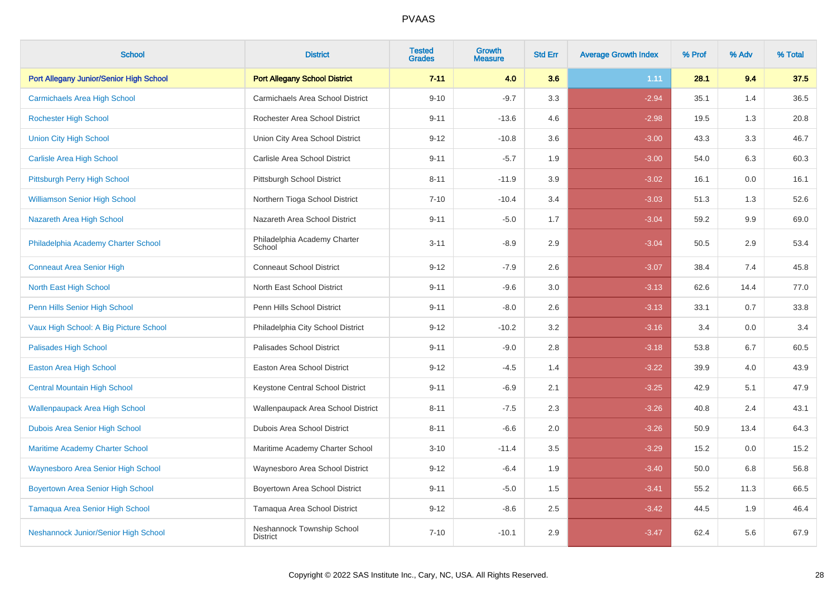| <b>School</b>                             | <b>District</b>                               | <b>Tested</b><br><b>Grades</b> | <b>Growth</b><br><b>Measure</b> | <b>Std Err</b> | <b>Average Growth Index</b> | % Prof | % Adv | % Total |
|-------------------------------------------|-----------------------------------------------|--------------------------------|---------------------------------|----------------|-----------------------------|--------|-------|---------|
| Port Allegany Junior/Senior High School   | <b>Port Allegany School District</b>          | $7 - 11$                       | 4.0                             | 3.6            | 1.11                        | 28.1   | 9.4   | 37.5    |
| <b>Carmichaels Area High School</b>       | Carmichaels Area School District              | $9 - 10$                       | $-9.7$                          | 3.3            | $-2.94$                     | 35.1   | 1.4   | 36.5    |
| <b>Rochester High School</b>              | Rochester Area School District                | $9 - 11$                       | $-13.6$                         | 4.6            | $-2.98$                     | 19.5   | 1.3   | 20.8    |
| <b>Union City High School</b>             | Union City Area School District               | $9 - 12$                       | $-10.8$                         | 3.6            | $-3.00$                     | 43.3   | 3.3   | 46.7    |
| <b>Carlisle Area High School</b>          | Carlisle Area School District                 | $9 - 11$                       | $-5.7$                          | 1.9            | $-3.00$                     | 54.0   | 6.3   | 60.3    |
| Pittsburgh Perry High School              | Pittsburgh School District                    | $8 - 11$                       | $-11.9$                         | 3.9            | $-3.02$                     | 16.1   | 0.0   | 16.1    |
| <b>Williamson Senior High School</b>      | Northern Tioga School District                | $7 - 10$                       | $-10.4$                         | 3.4            | $-3.03$                     | 51.3   | 1.3   | 52.6    |
| Nazareth Area High School                 | Nazareth Area School District                 | $9 - 11$                       | $-5.0$                          | 1.7            | $-3.04$                     | 59.2   | 9.9   | 69.0    |
| Philadelphia Academy Charter School       | Philadelphia Academy Charter<br>School        | $3 - 11$                       | $-8.9$                          | 2.9            | $-3.04$                     | 50.5   | 2.9   | 53.4    |
| <b>Conneaut Area Senior High</b>          | <b>Conneaut School District</b>               | $9 - 12$                       | $-7.9$                          | 2.6            | $-3.07$                     | 38.4   | 7.4   | 45.8    |
| North East High School                    | North East School District                    | $9 - 11$                       | $-9.6$                          | 3.0            | $-3.13$                     | 62.6   | 14.4  | 77.0    |
| Penn Hills Senior High School             | Penn Hills School District                    | $9 - 11$                       | $-8.0$                          | 2.6            | $-3.13$                     | 33.1   | 0.7   | 33.8    |
| Vaux High School: A Big Picture School    | Philadelphia City School District             | $9 - 12$                       | $-10.2$                         | 3.2            | $-3.16$                     | 3.4    | 0.0   | 3.4     |
| <b>Palisades High School</b>              | Palisades School District                     | $9 - 11$                       | $-9.0$                          | 2.8            | $-3.18$                     | 53.8   | 6.7   | 60.5    |
| <b>Easton Area High School</b>            | Easton Area School District                   | $9 - 12$                       | $-4.5$                          | 1.4            | $-3.22$                     | 39.9   | 4.0   | 43.9    |
| <b>Central Mountain High School</b>       | Keystone Central School District              | $9 - 11$                       | $-6.9$                          | 2.1            | $-3.25$                     | 42.9   | 5.1   | 47.9    |
| <b>Wallenpaupack Area High School</b>     | Wallenpaupack Area School District            | $8 - 11$                       | $-7.5$                          | 2.3            | $-3.26$                     | 40.8   | 2.4   | 43.1    |
| Dubois Area Senior High School            | Dubois Area School District                   | $8 - 11$                       | $-6.6$                          | 2.0            | $-3.26$                     | 50.9   | 13.4  | 64.3    |
| <b>Maritime Academy Charter School</b>    | Maritime Academy Charter School               | $3 - 10$                       | $-11.4$                         | 3.5            | $-3.29$                     | 15.2   | 0.0   | 15.2    |
| <b>Waynesboro Area Senior High School</b> | Waynesboro Area School District               | $9 - 12$                       | $-6.4$                          | 1.9            | $-3.40$                     | 50.0   | 6.8   | 56.8    |
| <b>Boyertown Area Senior High School</b>  | Boyertown Area School District                | $9 - 11$                       | $-5.0$                          | 1.5            | $-3.41$                     | 55.2   | 11.3  | 66.5    |
| Tamaqua Area Senior High School           | Tamaqua Area School District                  | $9 - 12$                       | $-8.6$                          | 2.5            | $-3.42$                     | 44.5   | 1.9   | 46.4    |
| Neshannock Junior/Senior High School      | Neshannock Township School<br><b>District</b> | $7 - 10$                       | $-10.1$                         | 2.9            | $-3.47$                     | 62.4   | 5.6   | 67.9    |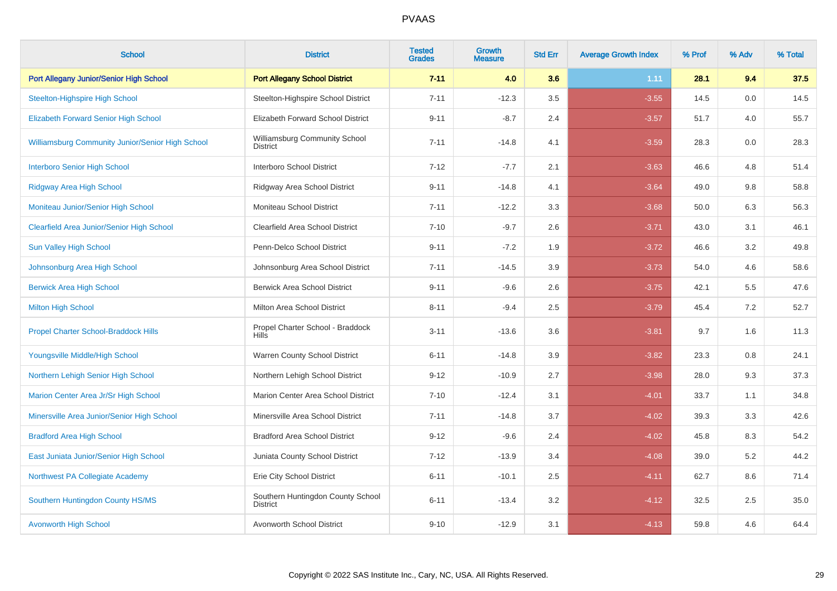| <b>School</b>                                    | <b>District</b>                                      | <b>Tested</b><br><b>Grades</b> | Growth<br>Measure | <b>Std Err</b> | <b>Average Growth Index</b> | % Prof | % Adv | % Total |
|--------------------------------------------------|------------------------------------------------------|--------------------------------|-------------------|----------------|-----------------------------|--------|-------|---------|
| Port Allegany Junior/Senior High School          | <b>Port Allegany School District</b>                 | $7 - 11$                       | 4.0               | 3.6            | 1.11                        | 28.1   | 9.4   | 37.5    |
| <b>Steelton-Highspire High School</b>            | Steelton-Highspire School District                   | $7 - 11$                       | $-12.3$           | 3.5            | $-3.55$                     | 14.5   | 0.0   | 14.5    |
| <b>Elizabeth Forward Senior High School</b>      | Elizabeth Forward School District                    | $9 - 11$                       | $-8.7$            | 2.4            | $-3.57$                     | 51.7   | 4.0   | 55.7    |
| Williamsburg Community Junior/Senior High School | Williamsburg Community School<br><b>District</b>     | $7 - 11$                       | $-14.8$           | 4.1            | $-3.59$                     | 28.3   | 0.0   | 28.3    |
| <b>Interboro Senior High School</b>              | Interboro School District                            | $7 - 12$                       | $-7.7$            | 2.1            | $-3.63$                     | 46.6   | 4.8   | 51.4    |
| Ridgway Area High School                         | Ridgway Area School District                         | $9 - 11$                       | $-14.8$           | 4.1            | $-3.64$                     | 49.0   | 9.8   | 58.8    |
| Moniteau Junior/Senior High School               | Moniteau School District                             | $7 - 11$                       | $-12.2$           | 3.3            | $-3.68$                     | 50.0   | 6.3   | 56.3    |
| <b>Clearfield Area Junior/Senior High School</b> | <b>Clearfield Area School District</b>               | $7 - 10$                       | $-9.7$            | 2.6            | $-3.71$                     | 43.0   | 3.1   | 46.1    |
| <b>Sun Valley High School</b>                    | Penn-Delco School District                           | $9 - 11$                       | $-7.2$            | 1.9            | $-3.72$                     | 46.6   | 3.2   | 49.8    |
| Johnsonburg Area High School                     | Johnsonburg Area School District                     | $7 - 11$                       | $-14.5$           | 3.9            | $-3.73$                     | 54.0   | 4.6   | 58.6    |
| <b>Berwick Area High School</b>                  | <b>Berwick Area School District</b>                  | $9 - 11$                       | $-9.6$            | 2.6            | $-3.75$                     | 42.1   | 5.5   | 47.6    |
| <b>Milton High School</b>                        | Milton Area School District                          | $8 - 11$                       | $-9.4$            | 2.5            | $-3.79$                     | 45.4   | 7.2   | 52.7    |
| <b>Propel Charter School-Braddock Hills</b>      | Propel Charter School - Braddock<br><b>Hills</b>     | $3 - 11$                       | $-13.6$           | 3.6            | $-3.81$                     | 9.7    | 1.6   | 11.3    |
| Youngsville Middle/High School                   | Warren County School District                        | $6 - 11$                       | $-14.8$           | 3.9            | $-3.82$                     | 23.3   | 0.8   | 24.1    |
| Northern Lehigh Senior High School               | Northern Lehigh School District                      | $9 - 12$                       | $-10.9$           | 2.7            | $-3.98$                     | 28.0   | 9.3   | 37.3    |
| Marion Center Area Jr/Sr High School             | Marion Center Area School District                   | $7 - 10$                       | $-12.4$           | 3.1            | $-4.01$                     | 33.7   | 1.1   | 34.8    |
| Minersville Area Junior/Senior High School       | Minersville Area School District                     | $7 - 11$                       | $-14.8$           | 3.7            | $-4.02$                     | 39.3   | 3.3   | 42.6    |
| <b>Bradford Area High School</b>                 | <b>Bradford Area School District</b>                 | $9 - 12$                       | $-9.6$            | 2.4            | $-4.02$                     | 45.8   | 8.3   | 54.2    |
| East Juniata Junior/Senior High School           | Juniata County School District                       | $7 - 12$                       | $-13.9$           | 3.4            | $-4.08$                     | 39.0   | 5.2   | 44.2    |
| Northwest PA Collegiate Academy                  | Erie City School District                            | $6 - 11$                       | $-10.1$           | 2.5            | $-4.11$                     | 62.7   | 8.6   | 71.4    |
| Southern Huntingdon County HS/MS                 | Southern Huntingdon County School<br><b>District</b> | $6 - 11$                       | $-13.4$           | 3.2            | $-4.12$                     | 32.5   | 2.5   | 35.0    |
| <b>Avonworth High School</b>                     | Avonworth School District                            | $9 - 10$                       | $-12.9$           | 3.1            | $-4.13$                     | 59.8   | 4.6   | 64.4    |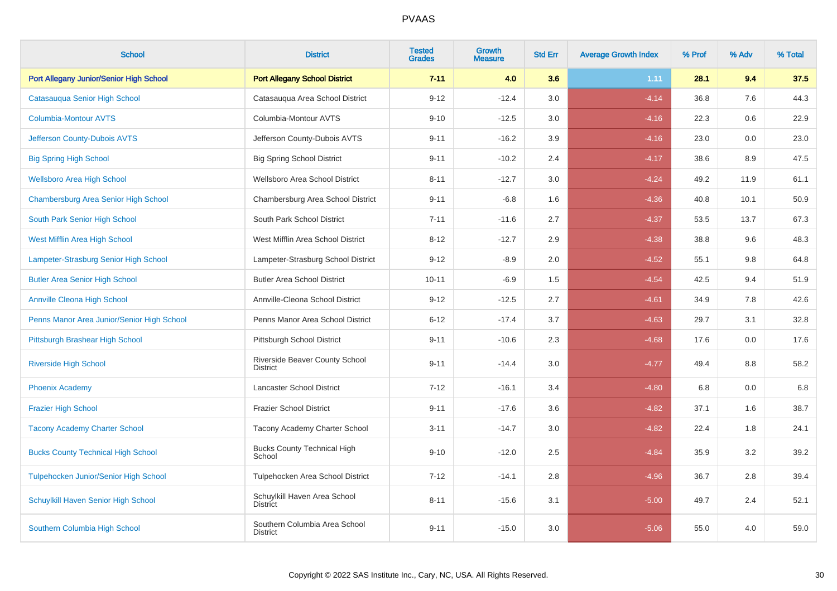| <b>School</b>                              | <b>District</b>                                  | <b>Tested</b><br><b>Grades</b> | <b>Growth</b><br><b>Measure</b> | <b>Std Err</b> | <b>Average Growth Index</b> | % Prof | % Adv   | % Total |
|--------------------------------------------|--------------------------------------------------|--------------------------------|---------------------------------|----------------|-----------------------------|--------|---------|---------|
| Port Allegany Junior/Senior High School    | <b>Port Allegany School District</b>             | $7 - 11$                       | 4.0                             | 3.6            | 1.11                        | 28.1   | 9.4     | 37.5    |
| Catasauqua Senior High School              | Catasauqua Area School District                  | $9 - 12$                       | $-12.4$                         | 3.0            | $-4.14$                     | 36.8   | 7.6     | 44.3    |
| <b>Columbia-Montour AVTS</b>               | Columbia-Montour AVTS                            | $9 - 10$                       | $-12.5$                         | 3.0            | $-4.16$                     | 22.3   | 0.6     | 22.9    |
| Jefferson County-Dubois AVTS               | Jefferson County-Dubois AVTS                     | $9 - 11$                       | $-16.2$                         | 3.9            | $-4.16$                     | 23.0   | $0.0\,$ | 23.0    |
| <b>Big Spring High School</b>              | <b>Big Spring School District</b>                | $9 - 11$                       | $-10.2$                         | 2.4            | $-4.17$                     | 38.6   | 8.9     | 47.5    |
| <b>Wellsboro Area High School</b>          | Wellsboro Area School District                   | $8 - 11$                       | $-12.7$                         | 3.0            | $-4.24$                     | 49.2   | 11.9    | 61.1    |
| Chambersburg Area Senior High School       | Chambersburg Area School District                | $9 - 11$                       | $-6.8$                          | 1.6            | $-4.36$                     | 40.8   | 10.1    | 50.9    |
| South Park Senior High School              | South Park School District                       | $7 - 11$                       | $-11.6$                         | 2.7            | $-4.37$                     | 53.5   | 13.7    | 67.3    |
| West Mifflin Area High School              | West Mifflin Area School District                | $8 - 12$                       | $-12.7$                         | 2.9            | $-4.38$                     | 38.8   | 9.6     | 48.3    |
| Lampeter-Strasburg Senior High School      | Lampeter-Strasburg School District               | $9 - 12$                       | $-8.9$                          | 2.0            | $-4.52$                     | 55.1   | 9.8     | 64.8    |
| <b>Butler Area Senior High School</b>      | <b>Butler Area School District</b>               | $10 - 11$                      | $-6.9$                          | 1.5            | $-4.54$                     | 42.5   | 9.4     | 51.9    |
| <b>Annville Cleona High School</b>         | Annville-Cleona School District                  | $9 - 12$                       | $-12.5$                         | 2.7            | $-4.61$                     | 34.9   | 7.8     | 42.6    |
| Penns Manor Area Junior/Senior High School | Penns Manor Area School District                 | $6 - 12$                       | $-17.4$                         | 3.7            | $-4.63$                     | 29.7   | 3.1     | 32.8    |
| Pittsburgh Brashear High School            | Pittsburgh School District                       | $9 - 11$                       | $-10.6$                         | 2.3            | $-4.68$                     | 17.6   | 0.0     | 17.6    |
| <b>Riverside High School</b>               | Riverside Beaver County School<br>District       | $9 - 11$                       | $-14.4$                         | 3.0            | $-4.77$                     | 49.4   | 8.8     | 58.2    |
| <b>Phoenix Academy</b>                     | <b>Lancaster School District</b>                 | $7 - 12$                       | $-16.1$                         | 3.4            | $-4.80$                     | 6.8    | 0.0     | 6.8     |
| <b>Frazier High School</b>                 | <b>Frazier School District</b>                   | $9 - 11$                       | $-17.6$                         | 3.6            | $-4.82$                     | 37.1   | 1.6     | 38.7    |
| <b>Tacony Academy Charter School</b>       | Tacony Academy Charter School                    | $3 - 11$                       | $-14.7$                         | 3.0            | $-4.82$                     | 22.4   | 1.8     | 24.1    |
| <b>Bucks County Technical High School</b>  | <b>Bucks County Technical High</b><br>School     | $9 - 10$                       | $-12.0$                         | 2.5            | $-4.84$                     | 35.9   | 3.2     | 39.2    |
| Tulpehocken Junior/Senior High School      | Tulpehocken Area School District                 | $7 - 12$                       | $-14.1$                         | 2.8            | $-4.96$                     | 36.7   | 2.8     | 39.4    |
| Schuylkill Haven Senior High School        | Schuylkill Haven Area School<br><b>District</b>  | $8 - 11$                       | $-15.6$                         | 3.1            | $-5.00$                     | 49.7   | 2.4     | 52.1    |
| Southern Columbia High School              | Southern Columbia Area School<br><b>District</b> | $9 - 11$                       | $-15.0$                         | 3.0            | $-5.06$                     | 55.0   | 4.0     | 59.0    |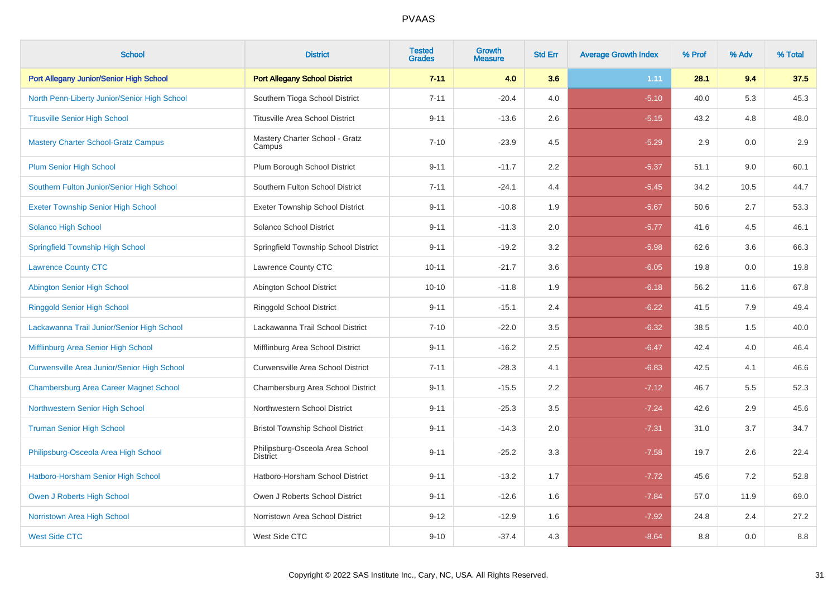| <b>School</b>                                      | <b>District</b>                                    | <b>Tested</b><br><b>Grades</b> | <b>Growth</b><br><b>Measure</b> | <b>Std Err</b> | <b>Average Growth Index</b> | % Prof | % Adv | % Total |
|----------------------------------------------------|----------------------------------------------------|--------------------------------|---------------------------------|----------------|-----------------------------|--------|-------|---------|
| Port Allegany Junior/Senior High School            | <b>Port Allegany School District</b>               | $7 - 11$                       | 4.0                             | 3.6            | 1.11                        | 28.1   | 9.4   | 37.5    |
| North Penn-Liberty Junior/Senior High School       | Southern Tioga School District                     | $7 - 11$                       | $-20.4$                         | 4.0            | $-5.10$                     | 40.0   | 5.3   | 45.3    |
| <b>Titusville Senior High School</b>               | <b>Titusville Area School District</b>             | $9 - 11$                       | $-13.6$                         | 2.6            | $-5.15$                     | 43.2   | 4.8   | 48.0    |
| <b>Mastery Charter School-Gratz Campus</b>         | Mastery Charter School - Gratz<br>Campus           | $7 - 10$                       | $-23.9$                         | 4.5            | $-5.29$                     | 2.9    | 0.0   | 2.9     |
| <b>Plum Senior High School</b>                     | Plum Borough School District                       | $9 - 11$                       | $-11.7$                         | 2.2            | $-5.37$                     | 51.1   | 9.0   | 60.1    |
| Southern Fulton Junior/Senior High School          | Southern Fulton School District                    | $7 - 11$                       | $-24.1$                         | 4.4            | $-5.45$                     | 34.2   | 10.5  | 44.7    |
| <b>Exeter Township Senior High School</b>          | <b>Exeter Township School District</b>             | $9 - 11$                       | $-10.8$                         | 1.9            | $-5.67$                     | 50.6   | 2.7   | 53.3    |
| <b>Solanco High School</b>                         | Solanco School District                            | $9 - 11$                       | $-11.3$                         | 2.0            | $-5.77$                     | 41.6   | 4.5   | 46.1    |
| <b>Springfield Township High School</b>            | Springfield Township School District               | $9 - 11$                       | $-19.2$                         | 3.2            | $-5.98$                     | 62.6   | 3.6   | 66.3    |
| <b>Lawrence County CTC</b>                         | Lawrence County CTC                                | $10 - 11$                      | $-21.7$                         | 3.6            | $-6.05$                     | 19.8   | 0.0   | 19.8    |
| <b>Abington Senior High School</b>                 | Abington School District                           | $10 - 10$                      | $-11.8$                         | 1.9            | $-6.18$                     | 56.2   | 11.6  | 67.8    |
| <b>Ringgold Senior High School</b>                 | Ringgold School District                           | $9 - 11$                       | $-15.1$                         | 2.4            | $-6.22$                     | 41.5   | 7.9   | 49.4    |
| Lackawanna Trail Junior/Senior High School         | Lackawanna Trail School District                   | $7 - 10$                       | $-22.0$                         | 3.5            | $-6.32$                     | 38.5   | 1.5   | 40.0    |
| Mifflinburg Area Senior High School                | Mifflinburg Area School District                   | $9 - 11$                       | $-16.2$                         | 2.5            | $-6.47$                     | 42.4   | 4.0   | 46.4    |
| <b>Curwensville Area Junior/Senior High School</b> | Curwensville Area School District                  | $7 - 11$                       | $-28.3$                         | 4.1            | $-6.83$                     | 42.5   | 4.1   | 46.6    |
| <b>Chambersburg Area Career Magnet School</b>      | Chambersburg Area School District                  | $9 - 11$                       | $-15.5$                         | 2.2            | $-7.12$                     | 46.7   | 5.5   | 52.3    |
| Northwestern Senior High School                    | Northwestern School District                       | $9 - 11$                       | $-25.3$                         | 3.5            | $-7.24$                     | 42.6   | 2.9   | 45.6    |
| <b>Truman Senior High School</b>                   | <b>Bristol Township School District</b>            | $9 - 11$                       | $-14.3$                         | 2.0            | $-7.31$                     | 31.0   | 3.7   | 34.7    |
| Philipsburg-Osceola Area High School               | Philipsburg-Osceola Area School<br><b>District</b> | $9 - 11$                       | $-25.2$                         | 3.3            | $-7.58$                     | 19.7   | 2.6   | 22.4    |
| Hatboro-Horsham Senior High School                 | Hatboro-Horsham School District                    | $9 - 11$                       | $-13.2$                         | 1.7            | $-7.72$                     | 45.6   | 7.2   | 52.8    |
| Owen J Roberts High School                         | Owen J Roberts School District                     | $9 - 11$                       | $-12.6$                         | 1.6            | $-7.84$                     | 57.0   | 11.9  | 69.0    |
| Norristown Area High School                        | Norristown Area School District                    | $9 - 12$                       | $-12.9$                         | 1.6            | $-7.92$                     | 24.8   | 2.4   | 27.2    |
| <b>West Side CTC</b>                               | West Side CTC                                      | $9 - 10$                       | $-37.4$                         | 4.3            | $-8.64$                     | 8.8    | 0.0   | 8.8     |